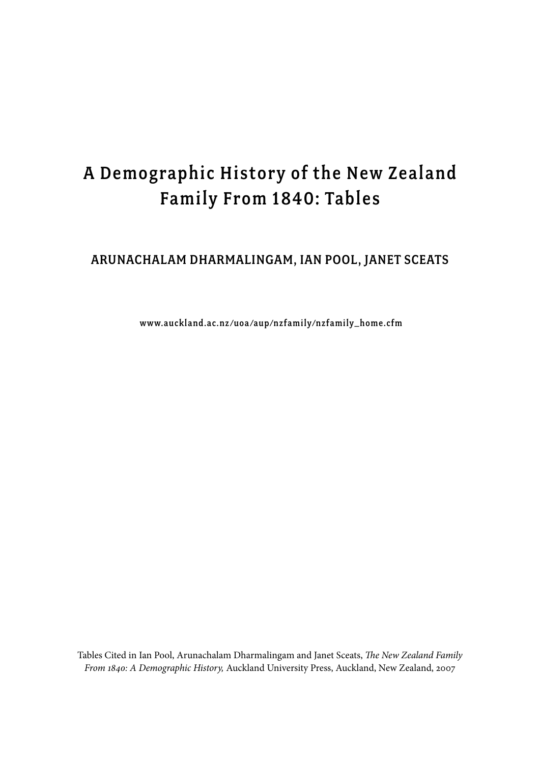# A Demographic History of the New Zealand Family From 1840: Tables

## Arunachalam Dharmalingam, Ian Pool, Janet Sceats

www.auckland.ac.nz /uoa /aup/nzfamily/nzfamily\_home.cfm

Tables Cited in Ian Pool, Arunachalam Dharmalingam and Janet Sceats, *The New Zealand Family From 1840: A Demographic History,* Auckland University Press, Auckland, New Zealand, 2007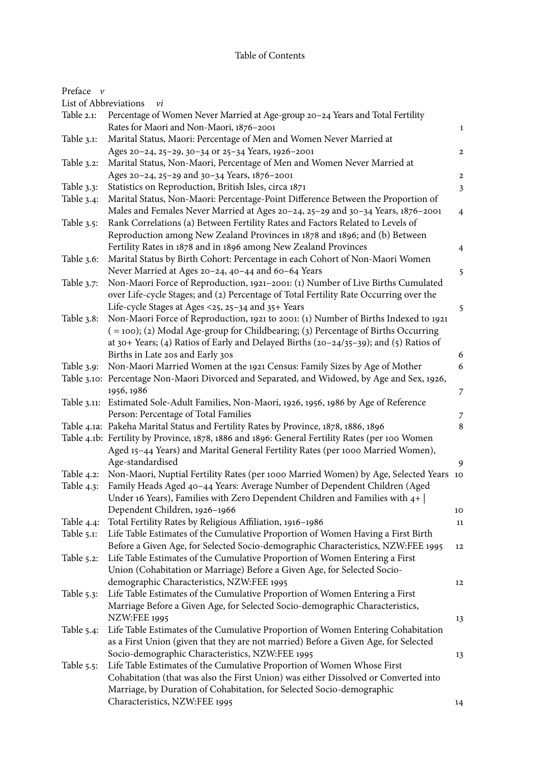#### Table of Contents

| Preface $\nu$         |                                                                                                                                                                          |                  |
|-----------------------|--------------------------------------------------------------------------------------------------------------------------------------------------------------------------|------------------|
| List of Abbreviations | vi                                                                                                                                                                       |                  |
| Table 2.1:            | Percentage of Women Never Married at Age-group 20-24 Years and Total Fertility<br>Rates for Maori and Non-Maori, 1876-2001                                               | $\mathbf{1}$     |
| Table 3.1:            | Marital Status, Maori: Percentage of Men and Women Never Married at                                                                                                      |                  |
|                       | Ages 20-24, 25-29, 30-34 or 25-34 Years, 1926-2001                                                                                                                       | $\mathbf{2}$     |
| Table 3.2:            | Marital Status, Non-Maori, Percentage of Men and Women Never Married at                                                                                                  |                  |
|                       | Ages 20-24, 25-29 and 30-34 Years, 1876-2001                                                                                                                             | $\mathbf{2}$     |
| Table 3.3:            | Statistics on Reproduction, British Isles, circa 1871                                                                                                                    |                  |
| Table 3.4:            | Marital Status, Non-Maori: Percentage-Point Difference Between the Proportion of                                                                                         | $\mathfrak{Z}$   |
|                       | Males and Females Never Married at Ages 20-24, 25-29 and 30-34 Years, 1876-2001                                                                                          |                  |
|                       |                                                                                                                                                                          | $\overline{4}$   |
| Table 3.5:            | Rank Correlations (a) Between Fertility Rates and Factors Related to Levels of                                                                                           |                  |
|                       | Reproduction among New Zealand Provinces in 1878 and 1896; and (b) Between                                                                                               |                  |
|                       | Fertility Rates in 1878 and in 1896 among New Zealand Provinces                                                                                                          | 4                |
| Table 3.6:            | Marital Status by Birth Cohort: Percentage in each Cohort of Non-Maori Women                                                                                             |                  |
|                       | Never Married at Ages 20-24, 40-44 and 60-64 Years                                                                                                                       | 5                |
| Table $3.7$ :         | Non-Maori Force of Reproduction, 1921-2001: (1) Number of Live Births Cumulated<br>over Life-cycle Stages; and (2) Percentage of Total Fertility Rate Occurring over the |                  |
|                       | Life-cycle Stages at Ages <25, 25-34 and 35+ Years                                                                                                                       | 5                |
| Table 3.8:            | Non-Maori Force of Reproduction, 1921 to 2001: (1) Number of Births Indexed to 1921                                                                                      |                  |
|                       | (=100); (2) Modal Age-group for Childbearing; (3) Percentage of Births Occurring                                                                                         |                  |
|                       | at 30+ Years; (4) Ratios of Early and Delayed Births (20-24/35-39); and (5) Ratios of                                                                                    |                  |
|                       | Births in Late 20s and Early 30s                                                                                                                                         | $\boldsymbol{6}$ |
| Table 3.9:            | Non-Maori Married Women at the 1921 Census: Family Sizes by Age of Mother                                                                                                | 6                |
|                       | Table 3.10: Percentage Non-Maori Divorced and Separated, and Widowed, by Age and Sex, 1926,                                                                              |                  |
|                       | 1956, 1986                                                                                                                                                               | 7                |
|                       | Table 3.11: Estimated Sole-Adult Families, Non-Maori, 1926, 1956, 1986 by Age of Reference                                                                               |                  |
|                       | Person: Percentage of Total Families                                                                                                                                     | 7                |
|                       | Table 4.1a: Pakeha Marital Status and Fertility Rates by Province, 1878, 1886, 1896                                                                                      | 8                |
|                       | Table 4.1b: Fertility by Province, 1878, 1886 and 1896: General Fertility Rates (per 100 Women                                                                           |                  |
|                       | Aged 15-44 Years) and Marital General Fertility Rates (per 1000 Married Women),                                                                                          |                  |
|                       | Age-standardised                                                                                                                                                         | 9                |
| Table $4.2$ :         | Non-Maori, Nuptial Fertility Rates (per 1000 Married Women) by Age, Selected Years 10                                                                                    |                  |
| Table 4.3:            | Family Heads Aged 40-44 Years: Average Number of Dependent Children (Aged                                                                                                |                  |
|                       | Under 16 Years), Families with Zero Dependent Children and Families with $4+$                                                                                            |                  |
|                       | Dependent Children, 1926-1966                                                                                                                                            | 10               |
| Table 4.4:            | Total Fertility Rates by Religious Affiliation, 1916-1986                                                                                                                | 11               |
| Table 5.1:            | Life Table Estimates of the Cumulative Proportion of Women Having a First Birth                                                                                          |                  |
|                       | Before a Given Age, for Selected Socio-demographic Characteristics, NZW:FEE 1995                                                                                         |                  |
|                       |                                                                                                                                                                          | 12               |
| Table $5.2$ :         | Life Table Estimates of the Cumulative Proportion of Women Entering a First                                                                                              |                  |
|                       | Union (Cohabitation or Marriage) Before a Given Age, for Selected Socio-                                                                                                 |                  |
|                       | demographic Characteristics, NZW:FEE 1995                                                                                                                                | 12               |
| Table $5.3$ :         | Life Table Estimates of the Cumulative Proportion of Women Entering a First                                                                                              |                  |
|                       | Marriage Before a Given Age, for Selected Socio-demographic Characteristics,                                                                                             |                  |
|                       | <b>NZW:FEE 1995</b>                                                                                                                                                      | 13               |
| Table $5.4$ :         | Life Table Estimates of the Cumulative Proportion of Women Entering Cohabitation                                                                                         |                  |
|                       | as a First Union (given that they are not married) Before a Given Age, for Selected                                                                                      |                  |
|                       | Socio-demographic Characteristics, NZW:FEE 1995                                                                                                                          | 13               |
| Table $5.5$ :         | Life Table Estimates of the Cumulative Proportion of Women Whose First                                                                                                   |                  |
|                       | Cohabitation (that was also the First Union) was either Dissolved or Converted into                                                                                      |                  |
|                       | Marriage, by Duration of Cohabitation, for Selected Socio-demographic                                                                                                    |                  |
|                       | Characteristics, NZW:FEE 1995                                                                                                                                            | 14               |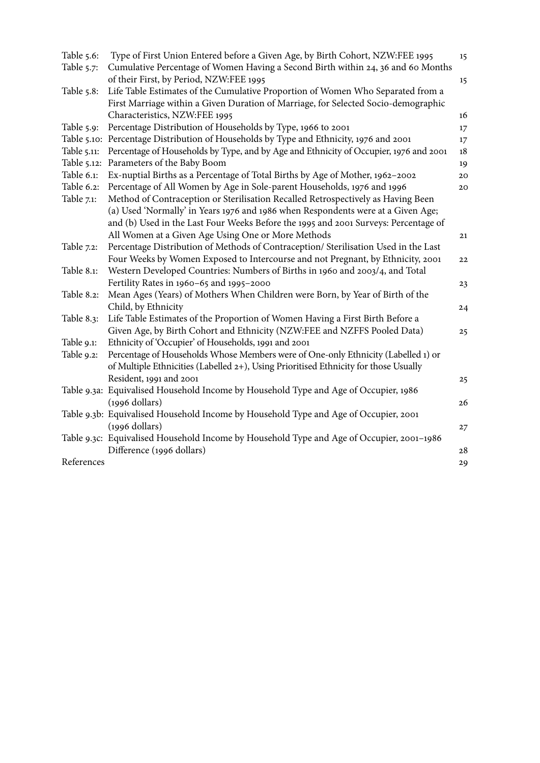| Table 5.6:  | Type of First Union Entered before a Given Age, by Birth Cohort, NZW:FEE 1995                                               | 15 |
|-------------|-----------------------------------------------------------------------------------------------------------------------------|----|
| Table 5.7:  | Cumulative Percentage of Women Having a Second Birth within 24, 36 and 60 Months<br>of their First, by Period, NZW:FEE 1995 | 15 |
| Table 5.8:  | Life Table Estimates of the Cumulative Proportion of Women Who Separated from a                                             |    |
|             | First Marriage within a Given Duration of Marriage, for Selected Socio-demographic                                          |    |
|             | Characteristics, NZW:FEE 1995                                                                                               | 16 |
| Table 5.9:  | Percentage Distribution of Households by Type, 1966 to 2001                                                                 | 17 |
|             | Table 5.10: Percentage Distribution of Households by Type and Ethnicity, 1976 and 2001                                      | 17 |
| Table 5.11: | Percentage of Households by Type, and by Age and Ethnicity of Occupier, 1976 and 2001                                       | 18 |
| Table 5.12: | Parameters of the Baby Boom                                                                                                 | 19 |
| Table 6.1:  | Ex-nuptial Births as a Percentage of Total Births by Age of Mother, 1962-2002                                               | 20 |
| Table 6.2:  | Percentage of All Women by Age in Sole-parent Households, 1976 and 1996                                                     | 20 |
| Table 7.1:  | Method of Contraception or Sterilisation Recalled Retrospectively as Having Been                                            |    |
|             | (a) Used 'Normally' in Years 1976 and 1986 when Respondents were at a Given Age;                                            |    |
|             | and (b) Used in the Last Four Weeks Before the 1995 and 2001 Surveys: Percentage of                                         |    |
|             | All Women at a Given Age Using One or More Methods                                                                          | 21 |
| Table 7.2:  | Percentage Distribution of Methods of Contraception/ Sterilisation Used in the Last                                         |    |
|             | Four Weeks by Women Exposed to Intercourse and not Pregnant, by Ethnicity, 2001                                             | 22 |
| Table 8.1:  | Western Developed Countries: Numbers of Births in 1960 and 2003/4, and Total                                                |    |
|             | Fertility Rates in 1960-65 and 1995-2000                                                                                    | 23 |
| Table 8.2:  | Mean Ages (Years) of Mothers When Children were Born, by Year of Birth of the                                               |    |
|             | Child, by Ethnicity                                                                                                         | 24 |
| Table 8.3:  | Life Table Estimates of the Proportion of Women Having a First Birth Before a                                               |    |
|             | Given Age, by Birth Cohort and Ethnicity (NZW:FEE and NZFFS Pooled Data)                                                    | 25 |
| Table 9.1:  | Ethnicity of 'Occupier' of Households, 1991 and 2001                                                                        |    |
| Table 9.2:  | Percentage of Households Whose Members were of One-only Ethnicity (Labelled 1) or                                           |    |
|             | of Multiple Ethnicities (Labelled 2+), Using Prioritised Ethnicity for those Usually                                        |    |
|             | Resident, 1991 and 2001                                                                                                     | 25 |
|             | Table 9.3a: Equivalised Household Income by Household Type and Age of Occupier, 1986                                        |    |
|             | $(1996$ dollars)                                                                                                            | 26 |
|             | Table 9.3b: Equivalised Household Income by Household Type and Age of Occupier, 2001                                        |    |
|             | $(1996$ dollars)                                                                                                            | 27 |
|             | Table 9.3c: Equivalised Household Income by Household Type and Age of Occupier, 2001-1986                                   |    |
|             | Difference (1996 dollars)                                                                                                   | 28 |
| References  |                                                                                                                             | 29 |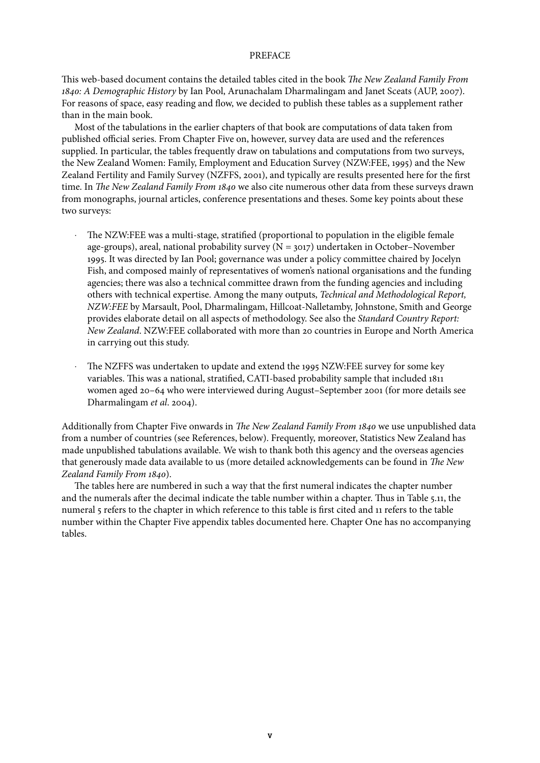#### PREFACE

This web-based document contains the detailed tables cited in the book *The New Zealand Family From 1840: A Demographic History* by Ian Pool, Arunachalam Dharmalingam and Janet Sceats (AUP, 2007). For reasons of space, easy reading and flow, we decided to publish these tables as a supplement rather than in the main book.

Most of the tabulations in the earlier chapters of that book are computations of data taken from published official series. From Chapter Five on, however, survey data are used and the references supplied. In particular, the tables frequently draw on tabulations and computations from two surveys, the New Zealand Women: Family, Employment and Education Survey (NZW:FEE, 1995) and the New Zealand Fertility and Family Survey (NZFFS, 2001), and typically are results presented here for the first time. In *The New Zealand Family From 1840* we also cite numerous other data from these surveys drawn from monographs, journal articles, conference presentations and theses. Some key points about these two surveys:

- The NZW:FEE was a multi-stage, stratified (proportional to population in the eligible female age-groups), areal, national probability survey  $(N = 3017)$  undertaken in October–November 1995. It was directed by Ian Pool; governance was under a policy committee chaired by Jocelyn Fish, and composed mainly of representatives of women's national organisations and the funding agencies; there was also a technical committee drawn from the funding agencies and including others with technical expertise. Among the many outputs, *Technical and Methodological Report, NZW:FEE* by Marsault, Pool, Dharmalingam, Hillcoat-Nalletamby, Johnstone, Smith and George provides elaborate detail on all aspects of methodology. See also the *Standard Country Report: New Zealand*. NZW:FEE collaborated with more than 20 countries in Europe and North America in carrying out this study.
- The NZFFS was undertaken to update and extend the 1995 NZW:FEE survey for some key variables. This was a national, stratified, CATI-based probability sample that included 1811 women aged 20–64 who were interviewed during August–September 2001 (for more details see Dharmalingam *et al*. 2004).

Additionally from Chapter Five onwards in *The New Zealand Family From 1840* we use unpublished data from a number of countries (see References, below). Frequently, moreover, Statistics New Zealand has made unpublished tabulations available. We wish to thank both this agency and the overseas agencies that generously made data available to us (more detailed acknowledgements can be found in *The New Zealand Family From 1840*).

The tables here are numbered in such a way that the first numeral indicates the chapter number and the numerals after the decimal indicate the table number within a chapter. Thus in Table 5.11, the numeral 5 refers to the chapter in which reference to this table is first cited and 11 refers to the table number within the Chapter Five appendix tables documented here. Chapter One has no accompanying tables.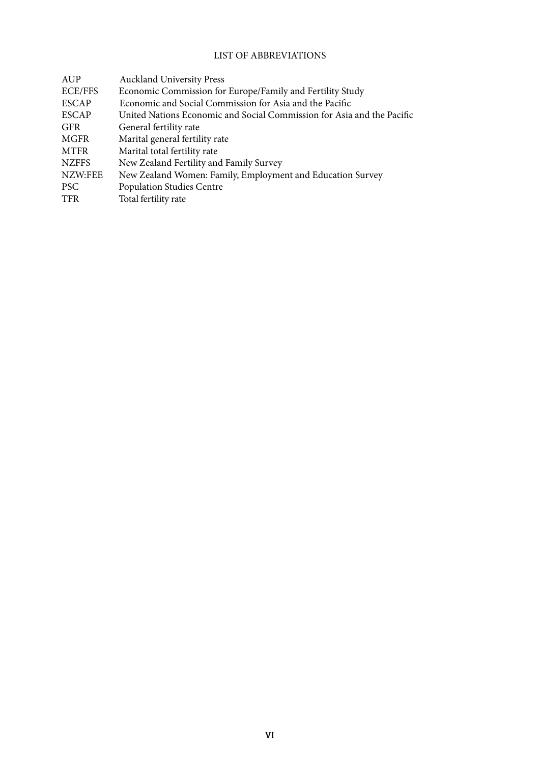## LIST OF ABBREVIATIONS

| AUP            | <b>Auckland University Press</b>                                       |
|----------------|------------------------------------------------------------------------|
| <b>ECE/FFS</b> | Economic Commission for Europe/Family and Fertility Study              |
| <b>ESCAP</b>   | Economic and Social Commission for Asia and the Pacific                |
| <b>ESCAP</b>   | United Nations Economic and Social Commission for Asia and the Pacific |
| <b>GFR</b>     | General fertility rate                                                 |
| <b>MGFR</b>    | Marital general fertility rate                                         |
| <b>MTFR</b>    | Marital total fertility rate                                           |
| <b>NZFFS</b>   | New Zealand Fertility and Family Survey                                |
| NZW:FEE        | New Zealand Women: Family, Employment and Education Survey             |
| <b>PSC</b>     | <b>Population Studies Centre</b>                                       |
| <b>TFR</b>     | Total fertility rate                                                   |
|                |                                                                        |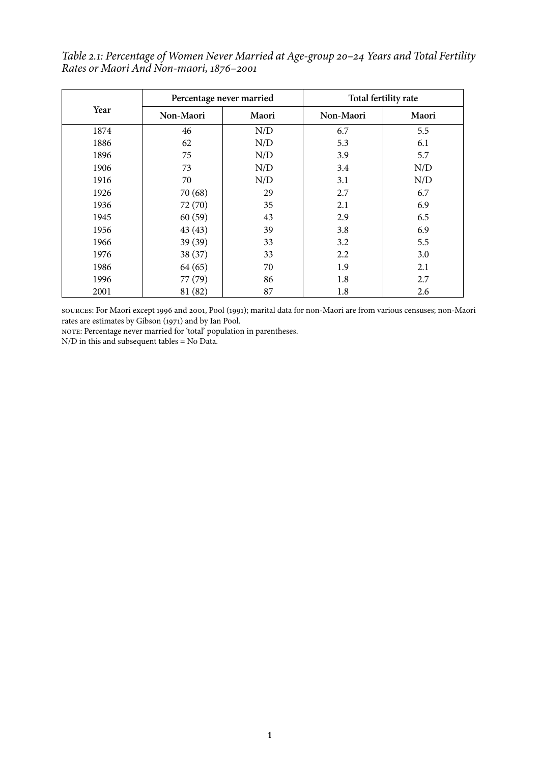*Table 2.1: Percentage of Women Never Married at Age-group 20–24 Years and Total Fertility Rates or Maori And Non-maori, 1876–2001*

|      | Percentage never married |       | Total fertility rate |       |  |
|------|--------------------------|-------|----------------------|-------|--|
| Year | Non-Maori                | Maori | Non-Maori            | Maori |  |
| 1874 | 46                       | N/D   | 6.7                  | 5.5   |  |
| 1886 | 62                       | N/D   | 5.3                  | 6.1   |  |
| 1896 | 75                       | N/D   | 3.9                  | 5.7   |  |
| 1906 | 73                       | N/D   | 3.4                  | N/D   |  |
| 1916 | 70                       | N/D   | 3.1                  | N/D   |  |
| 1926 | 70 (68)                  | 29    | 2.7                  | 6.7   |  |
| 1936 | 72 (70)                  | 35    | 2.1                  | 6.9   |  |
| 1945 | 60(59)                   | 43    | 2.9                  | 6.5   |  |
| 1956 | 43(43)                   | 39    | 3.8                  | 6.9   |  |
| 1966 | 39 (39)                  | 33    | 3.2                  | 5.5   |  |
| 1976 | 38 (37)                  | 33    | 2.2                  | 3.0   |  |
| 1986 | 64 (65)                  | 70    | 1.9                  | 2.1   |  |
| 1996 | 77 (79)                  | 86    | 1.8                  | 2.7   |  |
| 2001 | 81 (82)                  | 87    | 1.8                  | 2.6   |  |

sources: For Maori except 1996 and 2001, Pool (1991); marital data for non-Maori are from various censuses; non-Maori rates are estimates by Gibson (1971) and by Ian Pool.

NOTE: Percentage never married for 'total' population in parentheses.

N/D in this and subsequent tables = No Data.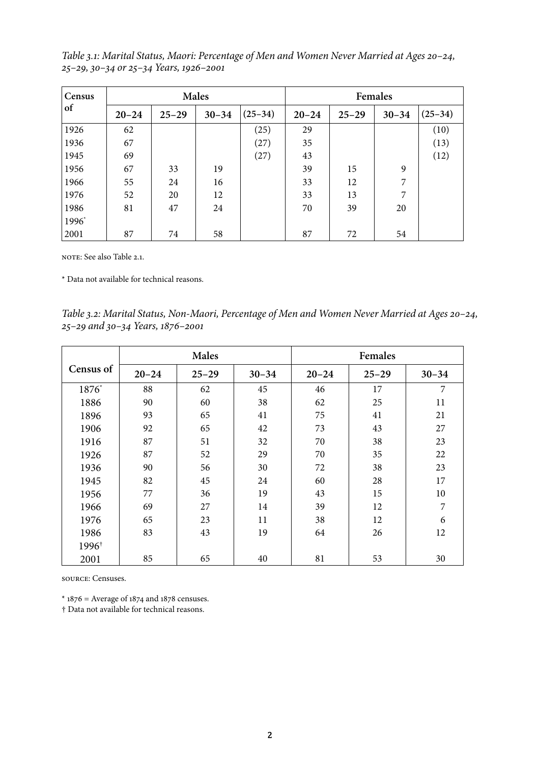*Table 3.1: Marital Status, Maori: Percentage of Men and Women Never Married at Ages 20–24, 25–29, 30–34 or 25–34 Years, 1926–2001*

| Census | Males     |           |           |           | Females   |           |           |           |
|--------|-----------|-----------|-----------|-----------|-----------|-----------|-----------|-----------|
| of     | $20 - 24$ | $25 - 29$ | $30 - 34$ | $(25-34)$ | $20 - 24$ | $25 - 29$ | $30 - 34$ | $(25-34)$ |
| 1926   | 62        |           |           | (25)      | 29        |           |           | (10)      |
| 1936   | 67        |           |           | (27)      | 35        |           |           | (13)      |
| 1945   | 69        |           |           | (27)      | 43        |           |           | (12)      |
| 1956   | 67        | 33        | 19        |           | 39        | 15        | 9         |           |
| 1966   | 55        | 24        | 16        |           | 33        | 12        | 7         |           |
| 1976   | 52        | 20        | 12        |           | 33        | 13        | 7         |           |
| 1986   | 81        | 47        | 24        |           | 70        | 39        | 20        |           |
| 1996*  |           |           |           |           |           |           |           |           |
| 2001   | 87        | 74        | 58        |           | 87        | 72        | 54        |           |

NOTE: See also Table 2.1.

\* Data not available for technical reasons.

*Table 3.2: Marital Status, Non-Maori, Percentage of Men and Women Never Married at Ages 20–24, 25–29 and 30–34 Years, 1876–2001*

|                   |           | <b>Males</b> |           | Females   |           |           |
|-------------------|-----------|--------------|-----------|-----------|-----------|-----------|
| Census of         | $20 - 24$ | $25 - 29$    | $30 - 34$ | $20 - 24$ | $25 - 29$ | $30 - 34$ |
| 1876*             | 88        | 62           | 45        | 46        | 17        | 7         |
| 1886              | 90        | 60           | 38        | 62        | 25        | 11        |
| 1896              | 93        | 65           | 41        | 75        | 41        | 21        |
| 1906              | 92        | 65           | 42        | 73        | 43        | 27        |
| 1916              | 87        | 51           | 32        | 70        | 38        | 23        |
| 1926              | 87        | 52           | 29        | 70        | 35        | 22        |
| 1936              | 90        | 56           | 30        | 72        | 38        | 23        |
| 1945              | 82        | 45           | 24        | 60        | 28        | 17        |
| 1956              | 77        | 36           | 19        | 43        | 15        | 10        |
| 1966              | 69        | 27           | 14        | 39        | 12        | 7         |
| 1976              | 65        | 23           | 11        | 38        | 12        | 6         |
| 1986              | 83        | 43           | 19        | 64        | 26        | 12        |
| 1996 <sup>†</sup> |           |              |           |           |           |           |
| 2001              | 85        | 65           | 40        | 81        | 53        | 30        |

source: Censuses.

 $*$  1876 = Average of 1874 and 1878 censuses.

† Data not available for technical reasons.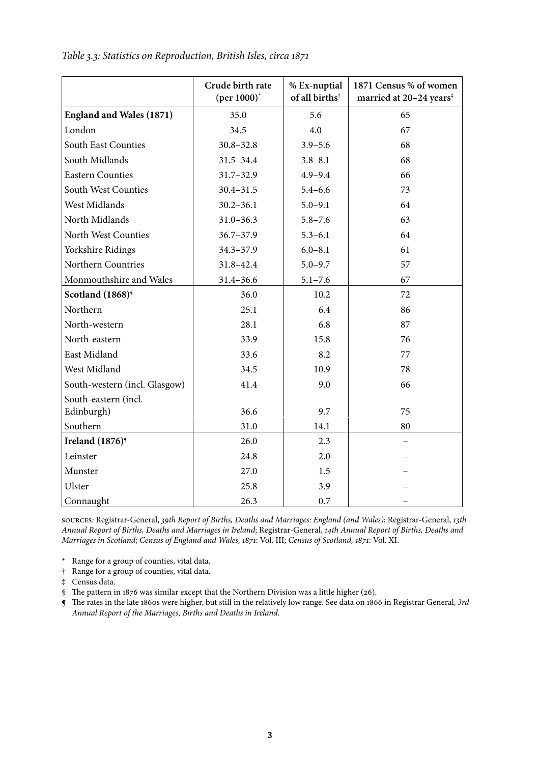|                                    | Crude birth rate<br>(per $1000$ ) <sup>*</sup> | % Ex-nuptial<br>of all births <sup>†</sup> | 1871 Census % of women<br>married at 20-24 years <sup>#</sup> |
|------------------------------------|------------------------------------------------|--------------------------------------------|---------------------------------------------------------------|
| <b>England and Wales (1871)</b>    | 35.0                                           | 5.6                                        | 65                                                            |
| London                             | 34.5                                           | 4.0                                        | 67                                                            |
| South East Counties                | $30.8 - 32.8$                                  | $3.9 - 5.6$                                | 68                                                            |
| South Midlands                     | $31.5 - 34.4$                                  | $3.8 - 8.1$                                | 68                                                            |
| <b>Eastern Counties</b>            | $31.7 - 32.9$                                  | $4.9 - 9.4$                                | 66                                                            |
| South West Counties                | $30.4 - 31.5$                                  | $5.4 - 6.6$                                | 73                                                            |
| West Midlands                      | $30.2 - 36.1$                                  | $5.0 - 9.1$                                | 64                                                            |
| North Midlands                     | $31.0 - 36.3$                                  | $5.8 - 7.6$                                | 63                                                            |
| North West Counties                | $36.7 - 37.9$                                  | $5.3 - 6.1$                                | 64                                                            |
| Yorkshire Ridings                  | $34.3 - 37.9$                                  | $6.0 - 8.1$                                | 61                                                            |
| Northern Countries                 | 31.8-42.4                                      | $5.0 - 9.7$                                | 57                                                            |
| Monmouthshire and Wales            | $31.4 - 36.6$                                  | $5.1 - 7.6$                                | 67                                                            |
| Scotland (1868) <sup>§</sup>       | 36.0                                           | 10.2                                       | 72                                                            |
| Northern                           | 25.1                                           | 6.4                                        | 86                                                            |
| North-western                      | 28.1                                           | 6.8                                        | 87                                                            |
| North-eastern                      | 33.9                                           | 15.8                                       | 76                                                            |
| East Midland                       | 33.6                                           | 8.2                                        | 77                                                            |
| West Midland                       | 34.5                                           | 10.9                                       | 78                                                            |
| South-western (incl. Glasgow)      | 41.4                                           | 9.0                                        | 66                                                            |
| South-eastern (incl.               |                                                |                                            |                                                               |
| Edinburgh)                         | 36.6                                           | 9.7                                        | 75                                                            |
| Southern                           | 31.0                                           | 14.1                                       | 80                                                            |
| <b>Ireland</b> (1876) <sup>9</sup> | 26.0                                           | 2.3                                        |                                                               |
| Leinster                           | 24.8                                           | 2.0                                        |                                                               |
| Munster                            | 27.0                                           | 1.5                                        |                                                               |
| Ulster                             | 25.8                                           | 3.9                                        |                                                               |
| Connaught                          | 26.3                                           | 0.7                                        |                                                               |

*Table 3.3: Statistics on Reproduction, British Isles, circa 1871*

sources*:* Registrar-General, *39th Report of Births, Deaths and Marriages: England (and Wales)*; Registrar-General, *13th Annual Report of Births, Deaths and Marriages in Ireland*; Registrar-General, *14th Annual Report of Births, Deaths and Marriages in Scotland*; *Census of England and Wales, 1871*: Vol. III; *Census of Scotland, 1871*: Vol. XI.

\* Range for a group of counties, vital data.

† Range for a group of counties, vital data.

‡ Census data.

§ The pattern in 1876 was similar except that the Northern Division was a little higher (26).

¶ The rates in the late 1860s were higher, but still in the relatively low range. See data on 1866 in Registrar General, *3rd Annual Report of the Marriages, Births and Deaths in Ireland*.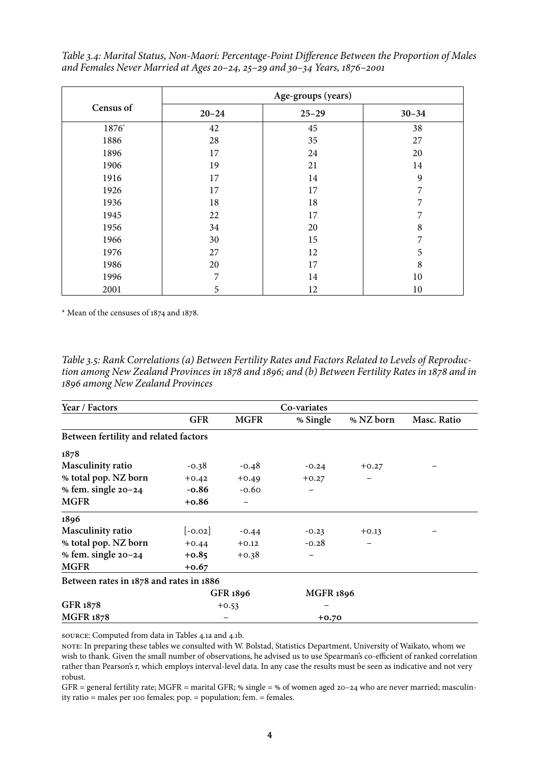*Table 3.4: Marital Status, Non-Maori: Percentage-Point Difference Between the Proportion of Males and Females Never Married at Ages 20–24, 25–29 and 30–34 Years, 1876–2001*

|              | Age-groups (years) |           |           |  |  |  |
|--------------|--------------------|-----------|-----------|--|--|--|
| Census of    | $20 - 24$          | $25 - 29$ | $30 - 34$ |  |  |  |
| $1876^\circ$ | 42                 | 45        | 38        |  |  |  |
| 1886         | 28                 | 35        | 27        |  |  |  |
| 1896         | 17                 | 24        | 20        |  |  |  |
| 1906         | 19                 | 21        | 14        |  |  |  |
| 1916         | 17                 | 14        | 9         |  |  |  |
| 1926         | 17                 | 17        | 7         |  |  |  |
| 1936         | 18                 | 18        | 7         |  |  |  |
| 1945         | 22                 | 17        | 7         |  |  |  |
| 1956         | 34                 | 20        | 8         |  |  |  |
| 1966         | 30                 | 15        | 7         |  |  |  |
| 1976         | 27                 | 12        | 5         |  |  |  |
| 1986         | 20                 | 17        | 8         |  |  |  |
| 1996         | 7                  | 14        | 10        |  |  |  |
| 2001         | 5                  | 12        | 10        |  |  |  |

\* Mean of the censuses of 1874 and 1878.

*Table 3.5: Rank Correlations (a) Between Fertility Rates and Factors Related to Levels of Reproduction among New Zealand Provinces in 1878 and 1896; and (b) Between Fertility Rates in 1878 and in 1896 among New Zealand Provinces* 

| Year / Factors                          |            |                 | Co-variates      |           |             |
|-----------------------------------------|------------|-----------------|------------------|-----------|-------------|
|                                         | <b>GFR</b> | <b>MGFR</b>     | % Single         | % NZ born | Masc. Ratio |
| Between fertility and related factors   |            |                 |                  |           |             |
| 1878                                    |            |                 |                  |           |             |
| <b>Masculinity ratio</b>                | $-0.38$    | $-0.48$         | $-0.24$          | $+0.27$   |             |
| % total pop. NZ born                    | $+0.42$    | $+0.49$         | $+0.27$          |           |             |
| % fem. single $20 - 24$                 | $-0.86$    | $-0.60$         |                  |           |             |
| <b>MGFR</b>                             | $+0.86$    | $\qquad \qquad$ |                  |           |             |
| 1896                                    |            |                 |                  |           |             |
| Masculinity ratio                       | $[-0.02]$  | $-0.44$         | $-0.23$          | $+0.13$   |             |
| % total pop. NZ born                    | $+0.44$    | $+0.12$         | $-0.28$          |           |             |
| % fem. single $20 - 24$                 | $+0.85$    | $+0.38$         |                  |           |             |
| <b>MGFR</b>                             | $+0.67$    |                 |                  |           |             |
| Between rates in 1878 and rates in 1886 |            |                 |                  |           |             |
|                                         |            | GFR 1896        | <b>MGFR 1896</b> |           |             |
| GFR 1878                                |            | $+0.53$         |                  |           |             |
| <b>MGFR 1878</b>                        |            |                 | $+0.70$          |           |             |

source: Computed from data in Tables 4.1a and 4.1b.

note: In preparing these tables we consulted with W. Bolstad, Statistics Department, University of Waikato, whom we wish to thank. Given the small number of observations, he advised us to use Spearman's co-efficient of ranked correlation rather than Pearson's r, which employs interval-level data. In any case the results must be seen as indicative and not very robust.

GFR = general fertility rate; MGFR = marital GFR; % single = % of women aged 20-24 who are never married; masculinity ratio = males per 100 females; pop. = population; fem. = females.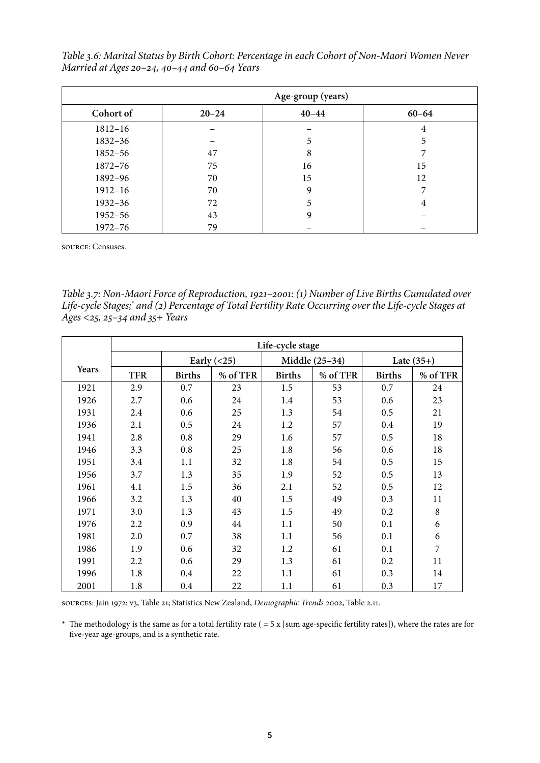*Table 3.6: Marital Status by Birth Cohort: Percentage in each Cohort of Non-Maori Women Never Married at Ages 20–24, 40–44 and 60–64 Years*

|             |           | Age-group (years) |           |
|-------------|-----------|-------------------|-----------|
| Cohort of   | $20 - 24$ | $40 - 44$         | $60 - 64$ |
| $1812 - 16$ |           |                   | 4         |
| 1832-36     |           | 5                 | 5         |
| 1852-56     | 47        | 8                 |           |
| 1872-76     | 75        | 16                | 15        |
| 1892-96     | 70        | 15                | 12        |
| $1912 - 16$ | 70        | 9                 |           |
| $1932 - 36$ | 72        | 5                 | 4         |
| $1952 - 56$ | 43        | 9                 |           |
| $1972 - 76$ | 79        |                   |           |

source: Censuses.

*Table 3.7: Non-Maori Force of Reproduction, 1921–2001: (1) Number of Live Births Cumulated over Life-cycle Stages; and (2) Percentage of Total Fertility Rate Occurring over the Life-cycle Stages at Ages <25, 25–34 and 35+ Years*

|       | Life-cycle stage |               |               |               |                |               |              |  |
|-------|------------------|---------------|---------------|---------------|----------------|---------------|--------------|--|
|       |                  |               | Early $(<25)$ |               | Middle (25-34) |               | Late $(35+)$ |  |
| Years | <b>TFR</b>       | <b>Births</b> | % of TFR      | <b>Births</b> | % of TFR       | <b>Births</b> | % of TFR     |  |
| 1921  | 2.9              | 0.7           | 23            | 1.5           | 53             | 0.7           | 24           |  |
| 1926  | 2.7              | 0.6           | 24            | 1.4           | 53             | 0.6           | 23           |  |
| 1931  | 2.4              | 0.6           | 25            | 1.3           | 54             | 0.5           | 21           |  |
| 1936  | 2.1              | 0.5           | 24            | 1.2           | 57             | 0.4           | 19           |  |
| 1941  | 2.8              | 0.8           | 29            | 1.6           | 57             | 0.5           | 18           |  |
| 1946  | 3.3              | 0.8           | 25            | 1.8           | 56             | 0.6           | 18           |  |
| 1951  | 3.4              | 1.1           | 32            | 1.8           | 54             | 0.5           | 15           |  |
| 1956  | 3.7              | 1.3           | 35            | 1.9           | 52             | 0.5           | 13           |  |
| 1961  | 4.1              | 1.5           | 36            | 2.1           | 52             | 0.5           | 12           |  |
| 1966  | 3.2              | 1.3           | 40            | 1.5           | 49             | 0.3           | 11           |  |
| 1971  | 3.0              | 1.3           | 43            | 1.5           | 49             | 0.2           | $\,8\,$      |  |
| 1976  | 2.2              | 0.9           | 44            | 1.1           | 50             | 0.1           | 6            |  |
| 1981  | 2.0              | 0.7           | 38            | 1.1           | 56             | 0.1           | 6            |  |
| 1986  | 1.9              | 0.6           | 32            | 1.2           | 61             | 0.1           | 7            |  |
| 1991  | 2.2              | 0.6           | 29            | 1.3           | 61             | 0.2           | 11           |  |
| 1996  | 1.8              | 0.4           | 22            | 1.1           | 61             | 0.3           | 14           |  |
| 2001  | 1.8              | 0.4           | 22            | 1.1           | 61             | 0.3           | 17           |  |

sources: Jain 1972: v3, Table 21; Statistics New Zealand, *Demographic Trends* 2002, Table 2.11.

\* The methodology is the same as for a total fertility rate ( $=$  5 x [sum age-specific fertility rates]), where the rates are for five-year age-groups, and is a synthetic rate.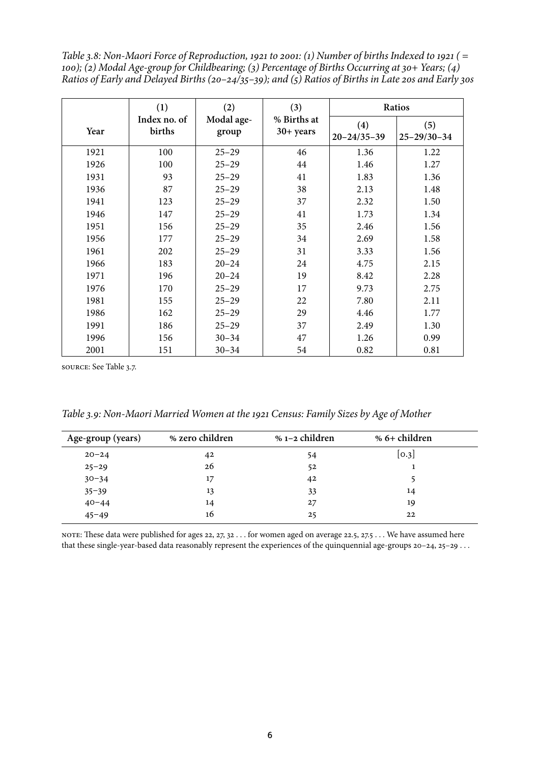*Table 3.8: Non-Maori Force of Reproduction, 1921 to 2001: (1) Number of births Indexed to 1921 ( = 100); (2) Modal Age-group for Childbearing; (3) Percentage of Births Occurring at 30+ Years; (4) Ratios of Early and Delayed Births (20–24/35–39); and (5) Ratios of Births in Late 20s and Early 30s* 

|      | (1)                    | (2)                 | (3)                      | Ratios                   |                          |
|------|------------------------|---------------------|--------------------------|--------------------------|--------------------------|
| Year | Index no. of<br>births | Modal age-<br>group | % Births at<br>30+ years | (4)<br>$20 - 24/35 - 39$ | (5)<br>$25 - 29/30 - 34$ |
| 1921 | 100                    | $25 - 29$           | 46                       | 1.36                     | 1.22                     |
| 1926 | 100                    | $25 - 29$           | 44                       | 1.46                     | 1.27                     |
| 1931 | 93                     | $25 - 29$           | 41                       | 1.83                     | 1.36                     |
| 1936 | 87                     | $25 - 29$           | 38                       | 2.13                     | 1.48                     |
| 1941 | 123                    | $25 - 29$           | 37                       | 2.32                     | 1.50                     |
| 1946 | 147                    | $25 - 29$           | 41                       | 1.73                     | 1.34                     |
| 1951 | 156                    | $25 - 29$           | 35                       | 2.46                     | 1.56                     |
| 1956 | 177                    | $25 - 29$           | 34                       | 2.69                     | 1.58                     |
| 1961 | 202                    | $25 - 29$           | 31                       | 3.33                     | 1.56                     |
| 1966 | 183                    | $20 - 24$           | 24                       | 4.75                     | 2.15                     |
| 1971 | 196                    | $20 - 24$           | 19                       | 8.42                     | 2.28                     |
| 1976 | 170                    | $25 - 29$           | 17                       | 9.73                     | 2.75                     |
| 1981 | 155                    | $25 - 29$           | 22                       | 7.80                     | 2.11                     |
| 1986 | 162                    | $25 - 29$           | 29                       | 4.46                     | 1.77                     |
| 1991 | 186                    | $25 - 29$           | 37                       | 2.49                     | 1.30                     |
| 1996 | 156                    | $30 - 34$           | 47                       | 1.26                     | 0.99                     |
| 2001 | 151                    | $30 - 34$           | 54                       | 0.82                     | 0.81                     |

source: See Table 3.7.

*Table 3.9: Non-Maori Married Women at the 1921 Census: Family Sizes by Age of Mother* 

| Age-group (years) | % zero children | % 1-2 children | % 6+ children |
|-------------------|-----------------|----------------|---------------|
| $20 - 24$         | 42              | 54             | [0.3]         |
| $25 - 29$         | 26              | 52             |               |
| $30 - 34$         | 17              | 42             |               |
| $35 - 39$         | 13              | 33             | 14            |
| $40 - 44$         | 14              | 27             | 19            |
| $45 - 49$         | 16              | 25             | 22            |

note: These data were published for ages 22, 27, 32 . . . for women aged on average 22.5, 27.5 . . . We have assumed here that these single-year-based data reasonably represent the experiences of the quinquennial age-groups 20–24, 25–29 . . .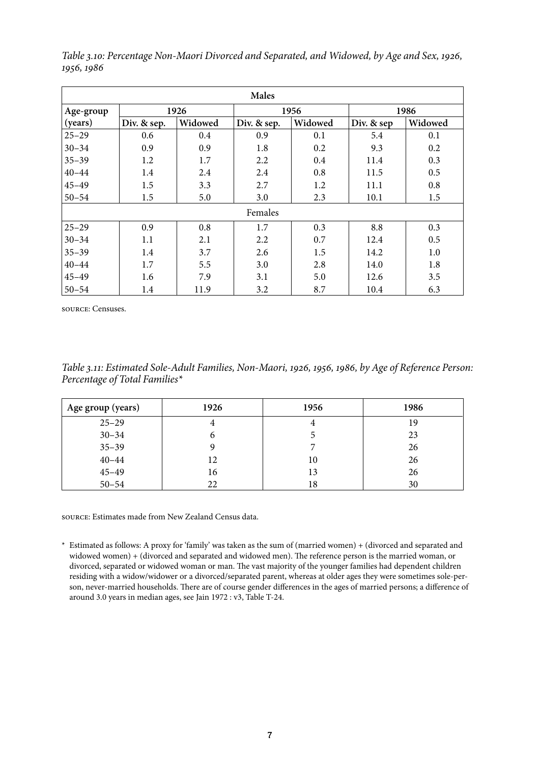| Males     |             |         |             |         |            |         |  |  |  |
|-----------|-------------|---------|-------------|---------|------------|---------|--|--|--|
| Age-group |             | 1926    |             | 1956    |            | 1986    |  |  |  |
| (years)   | Div. & sep. | Widowed | Div. & sep. | Widowed | Div. & sep | Widowed |  |  |  |
| $25 - 29$ | 0.6         | 0.4     | 0.9         | 0.1     | 5.4        | 0.1     |  |  |  |
| $30 - 34$ | 0.9         | 0.9     | 1.8         | 0.2     | 9.3        | 0.2     |  |  |  |
| $35 - 39$ | 1.2         | 1.7     | 2.2         | 0.4     | 11.4       | 0.3     |  |  |  |
| $40 - 44$ | 1.4         | 2.4     | 2.4         | 0.8     | 11.5       | 0.5     |  |  |  |
| $45 - 49$ | 1.5         | 3.3     | 2.7         | 1.2     | 11.1       | 0.8     |  |  |  |
| $50 - 54$ | 1.5         | 5.0     | 3.0         | 2.3     | 10.1       | 1.5     |  |  |  |
|           |             |         | Females     |         |            |         |  |  |  |
| $25 - 29$ | 0.9         | 0.8     | 1.7         | 0.3     | 8.8        | 0.3     |  |  |  |
| $30 - 34$ | 1.1         | 2.1     | 2.2         | 0.7     | 12.4       | 0.5     |  |  |  |
| $35 - 39$ | 1.4         | 3.7     | 2.6         | 1.5     | 14.2       | 1.0     |  |  |  |
| $40 - 44$ | 1.7         | 5.5     | 3.0         | 2.8     | 14.0       | 1.8     |  |  |  |
| $45 - 49$ | 1.6         | 7.9     | 3.1         | 5.0     | 12.6       | 3.5     |  |  |  |
| $50 - 54$ | 1.4         | 11.9    | 3.2         | 8.7     | 10.4       | 6.3     |  |  |  |

*Table 3.10: Percentage Non-Maori Divorced and Separated, and Widowed, by Age and Sex, 1926, 1956, 1986*

source: Censuses.

*Table 3.11: Estimated Sole-Adult Families, Non-Maori, 1926, 1956, 1986, by Age of Reference Person: Percentage of Total Families*

| Age group (years) | 1926 | 1956 | 1986 |
|-------------------|------|------|------|
| $25 - 29$         |      | 4    | 19   |
| $30 - 34$         | o    | C    | 23   |
| $35 - 39$         |      |      | 26   |
| $40 - 44$         | 12   | 10   | 26   |
| $45 - 49$         | 16   | 13   | 26   |
| $50 - 54$         | 22   | 18   | 30   |

source: Estimates made from New Zealand Census data.

\* Estimated as follows: A proxy for 'family' was taken as the sum of (married women) + (divorced and separated and widowed women) + (divorced and separated and widowed men). The reference person is the married woman, or divorced, separated or widowed woman or man. The vast majority of the younger families had dependent children residing with a widow/widower or a divorced/separated parent, whereas at older ages they were sometimes sole-person, never-married households. There are of course gender differences in the ages of married persons; a difference of around 3.0 years in median ages, see Jain 1972 : v3, Table T-24.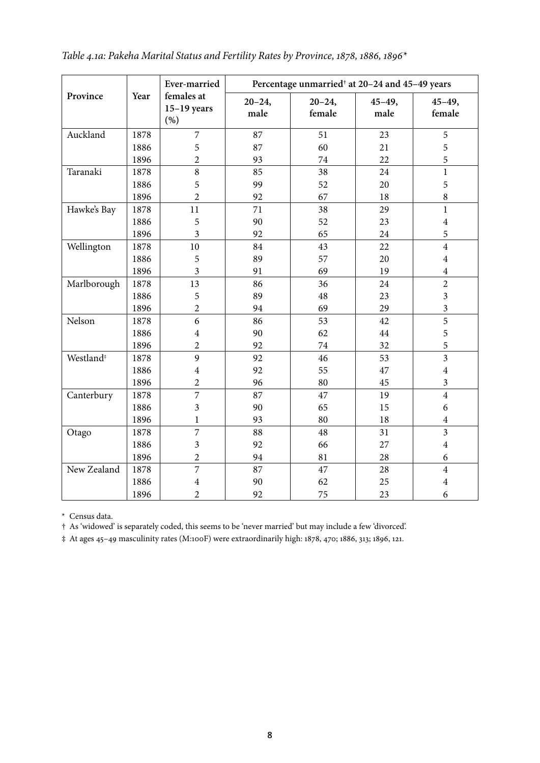|                       |      | Ever-married                        |                    | Percentage unmarried <sup>†</sup> at 20-24 and 45-49 years |                    |                         |
|-----------------------|------|-------------------------------------|--------------------|------------------------------------------------------------|--------------------|-------------------------|
| Province              | Year | females at<br>$15-19$ years<br>(% ) | $20 - 24,$<br>male | $20 - 24,$<br>female                                       | $45 - 49,$<br>male | $45 - 49,$<br>female    |
| Auckland              | 1878 | $\overline{7}$                      | 87                 | 51                                                         | 23                 | 5                       |
|                       | 1886 | 5                                   | 87                 | 60                                                         | 21                 | 5                       |
|                       | 1896 | $\overline{2}$                      | 93                 | 74                                                         | 22                 | 5                       |
| Taranaki              | 1878 | 8                                   | 85                 | 38                                                         | 24                 | $\mathbf{1}$            |
|                       | 1886 | 5                                   | 99                 | 52                                                         | 20                 | 5                       |
|                       | 1896 | $\overline{2}$                      | 92                 | 67                                                         | 18                 | 8                       |
| Hawke's Bay           | 1878 | 11                                  | 71                 | 38                                                         | 29                 | $\mathbf{1}$            |
|                       | 1886 | 5                                   | 90                 | 52                                                         | 23                 | $\overline{4}$          |
|                       | 1896 | $\overline{\mathbf{3}}$             | 92                 | 65                                                         | 24                 | 5                       |
| Wellington            | 1878 | 10                                  | 84                 | 43                                                         | 22                 | $\overline{4}$          |
|                       | 1886 | 5                                   | 89                 | 57                                                         | 20                 | $\overline{4}$          |
|                       | 1896 | 3                                   | 91                 | 69                                                         | 19                 | $\overline{4}$          |
| Marlborough           | 1878 | 13                                  | 86                 | 36                                                         | 24                 | $\overline{2}$          |
|                       | 1886 | 5                                   | 89                 | 48                                                         | 23                 | $\overline{3}$          |
|                       | 1896 | $\overline{c}$                      | 94                 | 69                                                         | 29                 | $\overline{\mathbf{3}}$ |
| Nelson                | 1878 | 6                                   | 86                 | 53                                                         | 42                 | 5                       |
|                       | 1886 | $\overline{\mathbf{4}}$             | 90                 | 62                                                         | 44                 | 5                       |
|                       | 1896 | $\overline{2}$                      | 92                 | 74                                                         | 32                 | 5                       |
| Westland <sup>#</sup> | 1878 | 9                                   | 92                 | 46                                                         | 53                 | $\overline{3}$          |
|                       | 1886 | $\overline{4}$                      | 92                 | 55                                                         | 47                 | $\overline{4}$          |
|                       | 1896 | $\overline{2}$                      | 96                 | 80                                                         | 45                 | $\overline{\mathbf{3}}$ |
| Canterbury            | 1878 | $\overline{7}$                      | 87                 | 47                                                         | 19                 | $\overline{4}$          |
|                       | 1886 | 3                                   | 90                 | 65                                                         | 15                 | 6                       |
|                       | 1896 | $\mathbf{1}$                        | 93                 | 80                                                         | 18                 | $\overline{4}$          |
| Otago                 | 1878 | 7                                   | 88                 | 48                                                         | 31                 | $\overline{3}$          |
|                       | 1886 | $\overline{\mathbf{3}}$             | 92                 | 66                                                         | 27                 | $\overline{4}$          |
|                       | 1896 | $\overline{2}$                      | 94                 | 81                                                         | 28                 | 6                       |
| New Zealand           | 1878 | $\overline{7}$                      | 87                 | 47                                                         | 28                 | $\overline{4}$          |
|                       | 1886 | $\overline{\mathbf{4}}$             | 90                 | 62                                                         | 25                 | $\overline{4}$          |
|                       | 1896 | $\overline{2}$                      | 92                 | 75                                                         | 23                 | 6                       |

| Table 4.1a: Pakeha Marital Status and Fertility Rates by Province, 1878, 1886, 1896* |  |  |  |
|--------------------------------------------------------------------------------------|--|--|--|
|--------------------------------------------------------------------------------------|--|--|--|

\* Census data.

† As 'widowed' is separately coded, this seems to be 'never married' but may include a few 'divorced'.

‡ At ages 45–49 masculinity rates (M:100F) were extraordinarily high: 1878, 470; 1886, 313; 1896, 121.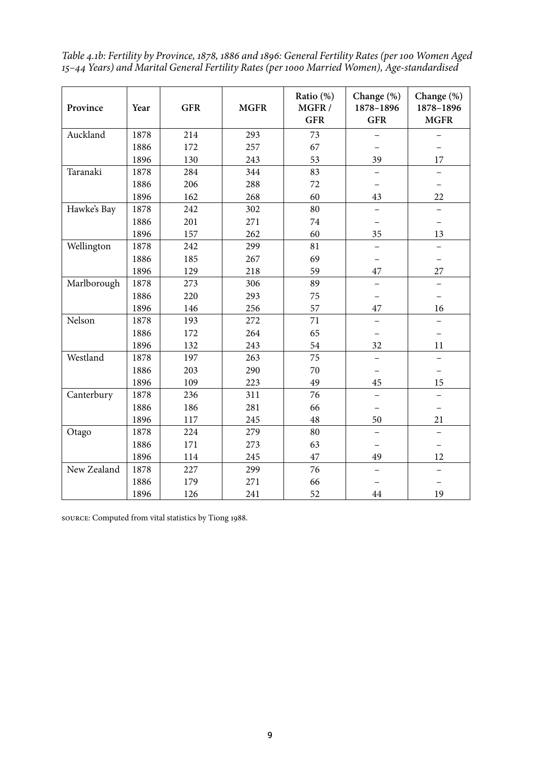*Table 4.1b: Fertility by Province, 1878, 1886 and 1896: General Fertility Rates (per 100 Women Aged 15–44 Years) and Marital General Fertility Rates (per 1000 Married Women), Age-standardised*

| Province    | Year | <b>GFR</b> | <b>MGFR</b> | Ratio (%)<br>MGFR/<br><b>GFR</b> | Change (%)<br>1878-1896<br><b>GFR</b> | Change (%)<br>1878-1896<br><b>MGFR</b> |
|-------------|------|------------|-------------|----------------------------------|---------------------------------------|----------------------------------------|
| Auckland    | 1878 | 214        | 293         | 73                               |                                       |                                        |
|             | 1886 | 172        | 257         | 67                               |                                       |                                        |
|             | 1896 | 130        | 243         | 53                               | 39                                    | 17                                     |
| Taranaki    | 1878 | 284        | 344         | 83                               |                                       |                                        |
|             | 1886 | 206        | 288         | 72                               |                                       |                                        |
|             | 1896 | 162        | 268         | 60                               | 43                                    | 22                                     |
| Hawke's Bay | 1878 | 242        | 302         | 80                               |                                       |                                        |
|             | 1886 | 201        | 271         | 74                               |                                       | $\overline{\phantom{0}}$               |
|             | 1896 | 157        | 262         | 60                               | 35                                    | 13                                     |
| Wellington  | 1878 | 242        | 299         | 81                               |                                       |                                        |
|             | 1886 | 185        | 267         | 69                               |                                       |                                        |
|             | 1896 | 129        | 218         | 59                               | 47                                    | 27                                     |
| Marlborough | 1878 | 273        | 306         | 89                               |                                       | $\overline{\phantom{0}}$               |
|             | 1886 | 220        | 293         | 75                               |                                       | $\overline{\phantom{0}}$               |
|             | 1896 | 146        | 256         | 57                               | 47                                    | 16                                     |
| Nelson      | 1878 | 193        | 272         | 71                               |                                       |                                        |
|             | 1886 | 172        | 264         | 65                               |                                       |                                        |
|             | 1896 | 132        | 243         | 54                               | 32                                    | 11                                     |
| Westland    | 1878 | 197        | 263         | 75                               |                                       | $\overline{\phantom{0}}$               |
|             | 1886 | 203        | 290         | 70                               |                                       |                                        |
|             | 1896 | 109        | 223         | 49                               | 45                                    | 15                                     |
| Canterbury  | 1878 | 236        | 311         | 76                               |                                       | $\qquad \qquad -$                      |
|             | 1886 | 186        | 281         | 66                               |                                       | $\overline{\phantom{0}}$               |
|             | 1896 | 117        | 245         | 48                               | 50                                    | 21                                     |
| Otago       | 1878 | 224        | 279         | 80                               |                                       | $\overline{\phantom{0}}$               |
|             | 1886 | 171        | 273         | 63                               |                                       |                                        |
|             | 1896 | 114        | 245         | 47                               | 49                                    | 12                                     |
| New Zealand | 1878 | 227        | 299         | 76                               |                                       |                                        |
|             | 1886 | 179        | 271         | 66                               |                                       |                                        |
|             | 1896 | 126        | 241         | 52                               | 44                                    | 19                                     |

source: Computed from vital statistics by Tiong 1988.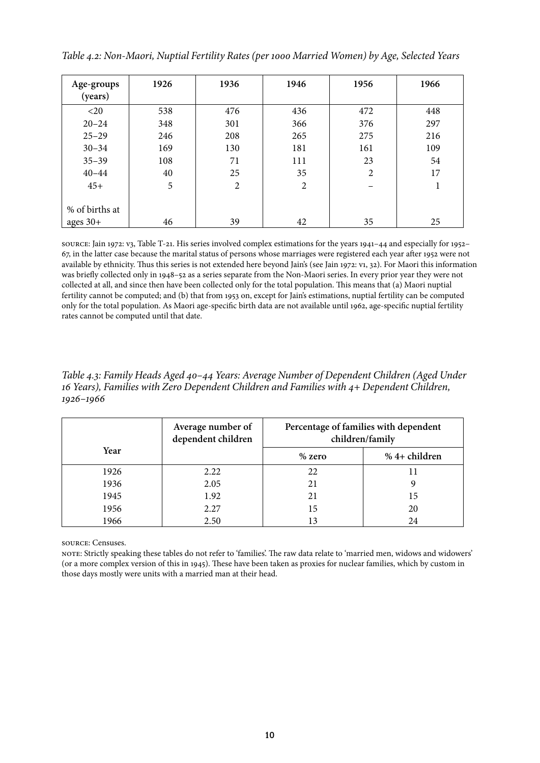| Age-groups<br>(years) | 1926 | 1936           | 1946 | 1956           | 1966 |
|-----------------------|------|----------------|------|----------------|------|
| $<$ 20                | 538  | 476            | 436  | 472            | 448  |
| $20 - 24$             | 348  | 301            | 366  | 376            | 297  |
| $25 - 29$             | 246  | 208            | 265  | 275            | 216  |
| $30 - 34$             | 169  | 130            | 181  | 161            | 109  |
| $35 - 39$             | 108  | 71             | 111  | 23             | 54   |
| $40 - 44$             | 40   | 25             | 35   | $\overline{2}$ | 17   |
| $45+$                 | 5    | $\overline{2}$ | 2    |                | 1    |
| % of births at        |      |                |      |                |      |
| ages $30+$            | 46   | 39             | 42   | 35             | 25   |

*Table 4.2: Non-Maori, Nuptial Fertility Rates (per 1000 Married Women) by Age, Selected Years*

source: Jain 1972: v3, Table T-21. His series involved complex estimations for the years 1941–44 and especially for 1952– 67, in the latter case because the marital status of persons whose marriages were registered each year after 1952 were not available by ethnicity. Thus this series is not extended here beyond Jain's (see Jain 1972: v1, 32). For Maori this information was briefly collected only in 1948–52 as a series separate from the Non-Maori series. In every prior year they were not collected at all, and since then have been collected only for the total population. This means that (a) Maori nuptial fertility cannot be computed; and (b) that from 1953 on, except for Jain's estimations, nuptial fertility can be computed only for the total population. As Maori age-specific birth data are not available until 1962, age-specific nuptial fertility rates cannot be computed until that date.

*Table 4.3: Family Heads Aged 40–44 Years: Average Number of Dependent Children (Aged Under 16 Years), Families with Zero Dependent Children and Families with 4+ Dependent Children, 1926–1966*

|      | Average number of<br>dependent children | Percentage of families with dependent<br>children/family |               |  |
|------|-----------------------------------------|----------------------------------------------------------|---------------|--|
| Year |                                         | $%$ zero                                                 | % 4+ children |  |
| 1926 | 2.22                                    | 22                                                       |               |  |
| 1936 | 2.05                                    | 21                                                       |               |  |
| 1945 | 1.92                                    | 21                                                       | 15            |  |
| 1956 | 2.27                                    | 15                                                       | 20            |  |
| 1966 | 2.50                                    |                                                          | 24            |  |

source: Censuses.

note: Strictly speaking these tables do not refer to 'families'. The raw data relate to 'married men, widows and widowers' (or a more complex version of this in 1945). These have been taken as proxies for nuclear families, which by custom in those days mostly were units with a married man at their head.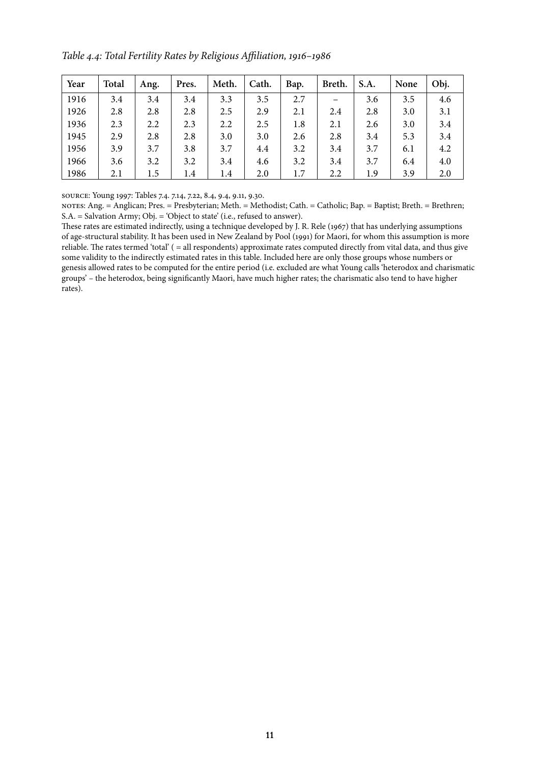*Table 4.4: Total Fertility Rates by Religious Affiliation, 1916–1986*

| Year | <b>Total</b> | Ang. | Pres. | Meth. | Cath. | Bap. | Breth. | S.A. | None | Obj. |
|------|--------------|------|-------|-------|-------|------|--------|------|------|------|
| 1916 | 3.4          | 3.4  | 3.4   | 3.3   | 3.5   | 2.7  |        | 3.6  | 3.5  | 4.6  |
| 1926 | 2.8          | 2.8  | 2.8   | 2.5   | 2.9   | 2.1  | 2.4    | 2.8  | 3.0  | 3.1  |
| 1936 | 2.3          | 2.2  | 2.3   | 2.2   | 2.5   | 1.8  | 2.1    | 2.6  | 3.0  | 3.4  |
| 1945 | 2.9          | 2.8  | 2.8   | 3.0   | 3.0   | 2.6  | 2.8    | 3.4  | 5.3  | 3.4  |
| 1956 | 3.9          | 3.7  | 3.8   | 3.7   | 4.4   | 3.2  | 3.4    | 3.7  | 6.1  | 4.2  |
| 1966 | 3.6          | 3.2  | 3.2   | 3.4   | 4.6   | 3.2  | 3.4    | 3.7  | 6.4  | 4.0  |
| 1986 | 2.1          | 1.5  | 1.4   | 1.4   | 2.0   | 1.7  | 2.2    | 1.9  | 3.9  | 2.0  |

source: Young 1997: Tables 7.4. 7.14, 7.22, 8.4, 9.4, 9.11, 9.30.

notes: Ang. = Anglican; Pres. = Presbyterian; Meth. = Methodist; Cath. = Catholic; Bap. = Baptist; Breth. = Brethren; S.A. = Salvation Army; Obj. = 'Object to state' (i.e., refused to answer).

These rates are estimated indirectly, using a technique developed by J. R. Rele (1967) that has underlying assumptions of age-structural stability. It has been used in New Zealand by Pool (1991) for Maori, for whom this assumption is more reliable. The rates termed 'total' ( = all respondents) approximate rates computed directly from vital data, and thus give some validity to the indirectly estimated rates in this table. Included here are only those groups whose numbers or genesis allowed rates to be computed for the entire period (i.e. excluded are what Young calls 'heterodox and charismatic groups' – the heterodox, being significantly Maori, have much higher rates; the charismatic also tend to have higher rates).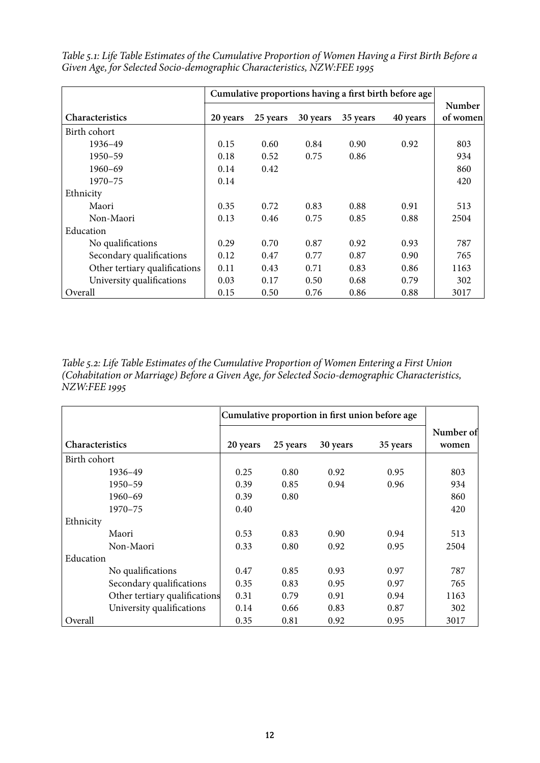|                               | Cumulative proportions having a first birth before age |          |          |          |          |                           |
|-------------------------------|--------------------------------------------------------|----------|----------|----------|----------|---------------------------|
| <b>Characteristics</b>        | 20 years                                               | 25 years | 30 years | 35 years | 40 years | <b>Number</b><br>of women |
| Birth cohort                  |                                                        |          |          |          |          |                           |
| 1936-49                       | 0.15                                                   | 0.60     | 0.84     | 0.90     | 0.92     | 803                       |
| 1950-59                       | 0.18                                                   | 0.52     | 0.75     | 0.86     |          | 934                       |
| $1960 - 69$                   | 0.14                                                   | 0.42     |          |          |          | 860                       |
| $1970 - 75$                   | 0.14                                                   |          |          |          |          | 420                       |
| Ethnicity                     |                                                        |          |          |          |          |                           |
| Maori                         | 0.35                                                   | 0.72     | 0.83     | 0.88     | 0.91     | 513                       |
| Non-Maori                     | 0.13                                                   | 0.46     | 0.75     | 0.85     | 0.88     | 2504                      |
| Education                     |                                                        |          |          |          |          |                           |
| No qualifications             | 0.29                                                   | 0.70     | 0.87     | 0.92     | 0.93     | 787                       |
| Secondary qualifications      | 0.12                                                   | 0.47     | 0.77     | 0.87     | 0.90     | 765                       |
| Other tertiary qualifications | 0.11                                                   | 0.43     | 0.71     | 0.83     | 0.86     | 1163                      |
| University qualifications     | 0.03                                                   | 0.17     | 0.50     | 0.68     | 0.79     | 302                       |
| Overall                       | 0.15                                                   | 0.50     | 0.76     | 0.86     | 0.88     | 3017                      |

*Table 5.1: Life Table Estimates of the Cumulative Proportion of Women Having a First Birth Before a Given Age, for Selected Socio-demographic Characteristics, NZW:FEE 1995* 

*Table 5.2: Life Table Estimates of the Cumulative Proportion of Women Entering a First Union (Cohabitation or Marriage) Before a Given Age, for Selected Socio-demographic Characteristics, NZW:FEE 1995*

|                               |          | Cumulative proportion in first union before age |          |          |                    |  |  |  |
|-------------------------------|----------|-------------------------------------------------|----------|----------|--------------------|--|--|--|
| <b>Characteristics</b>        | 20 years | 25 years                                        | 30 years | 35 years | Number of<br>women |  |  |  |
| Birth cohort                  |          |                                                 |          |          |                    |  |  |  |
| 1936–49                       | 0.25     | 0.80                                            | 0.92     | 0.95     | 803                |  |  |  |
| 1950-59                       | 0.39     | 0.85                                            | 0.94     | 0.96     | 934                |  |  |  |
| 1960-69                       | 0.39     | 0.80                                            |          |          | 860                |  |  |  |
| 1970-75                       | 0.40     |                                                 |          |          | 420                |  |  |  |
| Ethnicity                     |          |                                                 |          |          |                    |  |  |  |
| Maori                         | 0.53     | 0.83                                            | 0.90     | 0.94     | 513                |  |  |  |
| Non-Maori                     | 0.33     | 0.80                                            | 0.92     | 0.95     | 2504               |  |  |  |
| Education                     |          |                                                 |          |          |                    |  |  |  |
| No qualifications             | 0.47     | 0.85                                            | 0.93     | 0.97     | 787                |  |  |  |
| Secondary qualifications      | 0.35     | 0.83                                            | 0.95     | 0.97     | 765                |  |  |  |
| Other tertiary qualifications | 0.31     | 0.79                                            | 0.91     | 0.94     | 1163               |  |  |  |
| University qualifications     | 0.14     | 0.66                                            | 0.83     | 0.87     | 302                |  |  |  |
| Overall                       | 0.35     | 0.81                                            | 0.92     | 0.95     | 3017               |  |  |  |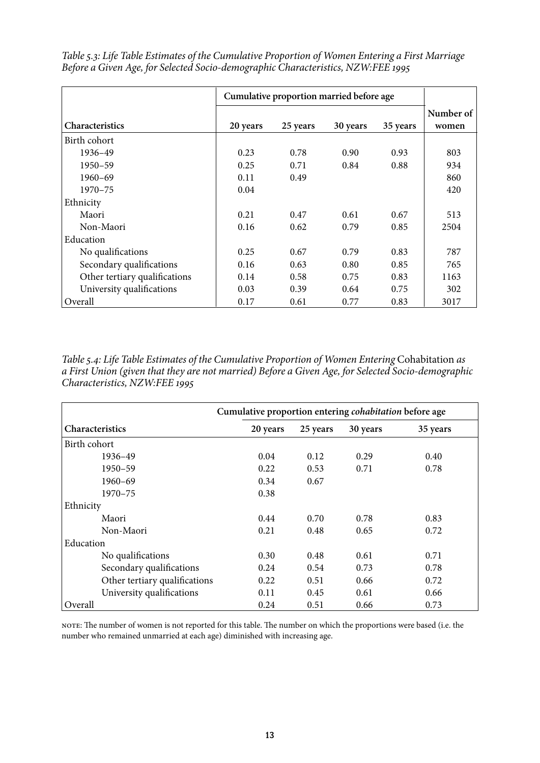|                               | Cumulative proportion married before age |          |          |          |                    |
|-------------------------------|------------------------------------------|----------|----------|----------|--------------------|
| <b>Characteristics</b>        | 20 years                                 | 25 years | 30 years | 35 years | Number of<br>women |
| Birth cohort                  |                                          |          |          |          |                    |
| 1936-49                       | 0.23                                     | 0.78     | 0.90     | 0.93     | 803                |
| 1950-59                       | 0.25                                     | 0.71     | 0.84     | 0.88     | 934                |
| $1960 - 69$                   | 0.11                                     | 0.49     |          |          | 860                |
| $1970 - 75$                   | 0.04                                     |          |          |          | 420                |
| Ethnicity                     |                                          |          |          |          |                    |
| Maori                         | 0.21                                     | 0.47     | 0.61     | 0.67     | 513                |
| Non-Maori                     | 0.16                                     | 0.62     | 0.79     | 0.85     | 2504               |
| Education                     |                                          |          |          |          |                    |
| No qualifications             | 0.25                                     | 0.67     | 0.79     | 0.83     | 787                |
| Secondary qualifications      | 0.16                                     | 0.63     | 0.80     | 0.85     | 765                |
| Other tertiary qualifications | 0.14                                     | 0.58     | 0.75     | 0.83     | 1163               |
| University qualifications     | 0.03                                     | 0.39     | 0.64     | 0.75     | 302                |
| Overall                       | 0.17                                     | 0.61     | 0.77     | 0.83     | 3017               |

*Table 5.3: Life Table Estimates of the Cumulative Proportion of Women Entering a First Marriage Before a Given Age, for Selected Socio-demographic Characteristics, NZW:FEE 1995*

*Table 5.4: Life Table Estimates of the Cumulative Proportion of Women Entering Cohabitation as a First Union (given that they are not married) Before a Given Age, for Selected Socio-demographic Characteristics, NZW:FEE 1995*

|                               | Cumulative proportion entering <i>cohabitation</i> before age |          |          |          |  |  |  |  |  |
|-------------------------------|---------------------------------------------------------------|----------|----------|----------|--|--|--|--|--|
| <b>Characteristics</b>        | 20 years                                                      | 25 years | 30 years | 35 years |  |  |  |  |  |
| Birth cohort                  |                                                               |          |          |          |  |  |  |  |  |
| 1936–49                       | 0.04                                                          | 0.12     | 0.29     | 0.40     |  |  |  |  |  |
| 1950-59                       | 0.22                                                          | 0.53     | 0.71     | 0.78     |  |  |  |  |  |
| $1960 - 69$                   | 0.34                                                          | 0.67     |          |          |  |  |  |  |  |
| $1970 - 75$                   | 0.38                                                          |          |          |          |  |  |  |  |  |
| Ethnicity                     |                                                               |          |          |          |  |  |  |  |  |
| Maori                         | 0.44                                                          | 0.70     | 0.78     | 0.83     |  |  |  |  |  |
| Non-Maori                     | 0.21                                                          | 0.48     | 0.65     | 0.72     |  |  |  |  |  |
| Education                     |                                                               |          |          |          |  |  |  |  |  |
| No qualifications             | 0.30                                                          | 0.48     | 0.61     | 0.71     |  |  |  |  |  |
| Secondary qualifications      | 0.24                                                          | 0.54     | 0.73     | 0.78     |  |  |  |  |  |
| Other tertiary qualifications | 0.22                                                          | 0.51     | 0.66     | 0.72     |  |  |  |  |  |
| University qualifications     | 0.11                                                          | 0.45     | 0.61     | 0.66     |  |  |  |  |  |
| Overall                       | 0.24                                                          | 0.51     | 0.66     | 0.73     |  |  |  |  |  |

note: The number of women is not reported for this table. The number on which the proportions were based (i.e. the number who remained unmarried at each age) diminished with increasing age.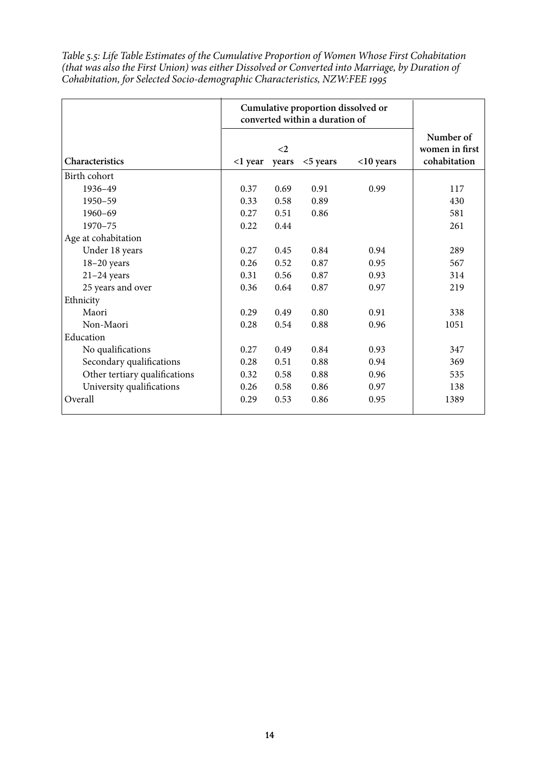*Table 5.5: Life Table Estimates of the Cumulative Proportion of Women Whose First Cohabitation (that was also the First Union) was either Dissolved or Converted into Marriage, by Duration of Cohabitation, for Selected Socio-demographic Characteristics, NZW:FEE 1995*

|                               |         | converted within a duration of | Cumulative proportion dissolved or |              |                                             |
|-------------------------------|---------|--------------------------------|------------------------------------|--------------|---------------------------------------------|
| Characteristics               | <1 year | $\langle$ 2<br>years           | $<$ 5 years                        | $<$ 10 years | Number of<br>women in first<br>cohabitation |
| Birth cohort                  |         |                                |                                    |              |                                             |
| 1936-49                       | 0.37    | 0.69                           | 0.91                               | 0.99         | 117                                         |
| $1950 - 59$                   | 0.33    | 0.58                           | 0.89                               |              | 430                                         |
| $1960 - 69$                   | 0.27    | 0.51                           | 0.86                               |              | 581                                         |
| $1970 - 75$                   | 0.22    | 0.44                           |                                    |              | 261                                         |
| Age at cohabitation           |         |                                |                                    |              |                                             |
| Under 18 years                | 0.27    | 0.45                           | 0.84                               | 0.94         | 289                                         |
| $18-20$ years                 | 0.26    | 0.52                           | 0.87                               | 0.95         | 567                                         |
| $21-24$ years                 | 0.31    | 0.56                           | 0.87                               | 0.93         | 314                                         |
| 25 years and over             | 0.36    | 0.64                           | 0.87                               | 0.97         | 219                                         |
| Ethnicity                     |         |                                |                                    |              |                                             |
| Maori                         | 0.29    | 0.49                           | 0.80                               | 0.91         | 338                                         |
| Non-Maori                     | 0.28    | 0.54                           | 0.88                               | 0.96         | 1051                                        |
| Education                     |         |                                |                                    |              |                                             |
| No qualifications             | 0.27    | 0.49                           | 0.84                               | 0.93         | 347                                         |
| Secondary qualifications      | 0.28    | 0.51                           | 0.88                               | 0.94         | 369                                         |
| Other tertiary qualifications | 0.32    | 0.58                           | 0.88                               | 0.96         | 535                                         |
| University qualifications     | 0.26    | 0.58                           | 0.86                               | 0.97         | 138                                         |
| Overall                       | 0.29    | 0.53                           | 0.86                               | 0.95         | 1389                                        |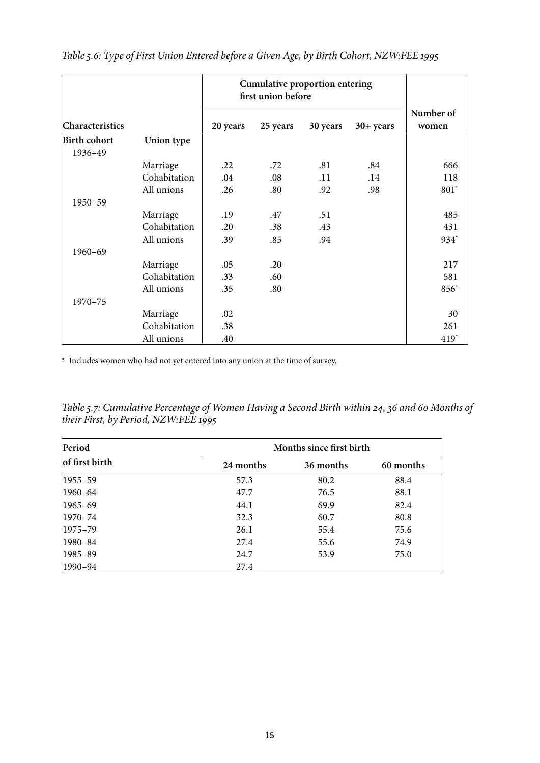|                 |              |          | Cumulative proportion entering<br>first union before |          |             |                    |
|-----------------|--------------|----------|------------------------------------------------------|----------|-------------|--------------------|
| Characteristics |              | 20 years | 25 years                                             | 30 years | $30+ years$ | Number of<br>women |
| Birth cohort    | Union type   |          |                                                      |          |             |                    |
| 1936-49         |              |          |                                                      |          |             |                    |
|                 | Marriage     | .22      | .72                                                  | .81      | .84         | 666                |
|                 | Cohabitation | .04      | .08                                                  | .11      | .14         | 118                |
|                 | All unions   | .26      | .80                                                  | .92      | .98         | $801$ <sup>*</sup> |
| 1950-59         |              |          |                                                      |          |             |                    |
|                 | Marriage     | .19      | .47                                                  | .51      |             | 485                |
|                 | Cohabitation | .20      | .38                                                  | .43      |             | 431                |
|                 | All unions   | .39      | .85                                                  | .94      |             | 934 <sup>*</sup>   |
| $1960 - 69$     |              |          |                                                      |          |             |                    |
|                 | Marriage     | .05      | .20                                                  |          |             | 217                |
|                 | Cohabitation | .33      | .60                                                  |          |             | 581                |
|                 | All unions   | .35      | .80                                                  |          |             | 856*               |
| 1970-75         |              |          |                                                      |          |             |                    |
|                 | Marriage     | .02      |                                                      |          |             | 30                 |
|                 | Cohabitation | .38      |                                                      |          |             | 261                |
|                 | All unions   | .40      |                                                      |          |             | 419                |

*Table 5.6: Type of First Union Entered before a Given Age, by Birth Cohort, NZW:FEE 1995*

\* Includes women who had not yet entered into any union at the time of survey.

*Table 5.7: Cumulative Percentage of Women Having a Second Birth within 24, 36 and 60 Months of their First, by Period, NZW:FEE 1995*

| Period         | Months since first birth |           |           |  |  |  |  |
|----------------|--------------------------|-----------|-----------|--|--|--|--|
| of first birth | 24 months                | 36 months | 60 months |  |  |  |  |
| $ 1955 - 59 $  | 57.3                     | 80.2      | 88.4      |  |  |  |  |
| $ 1960-64 $    | 47.7                     | 76.5      | 88.1      |  |  |  |  |
| $ 1965-69 $    | 44.1                     | 69.9      | 82.4      |  |  |  |  |
| $ 1970 - 74 $  | 32.3                     | 60.7      | 80.8      |  |  |  |  |
| $ 1975 - 79 $  | 26.1                     | 55.4      | 75.6      |  |  |  |  |
| 1980–84        | 27.4                     | 55.6      | 74.9      |  |  |  |  |
| 1985–89        | 24.7                     | 53.9      | 75.0      |  |  |  |  |
| $ 1990-94 $    | 27.4                     |           |           |  |  |  |  |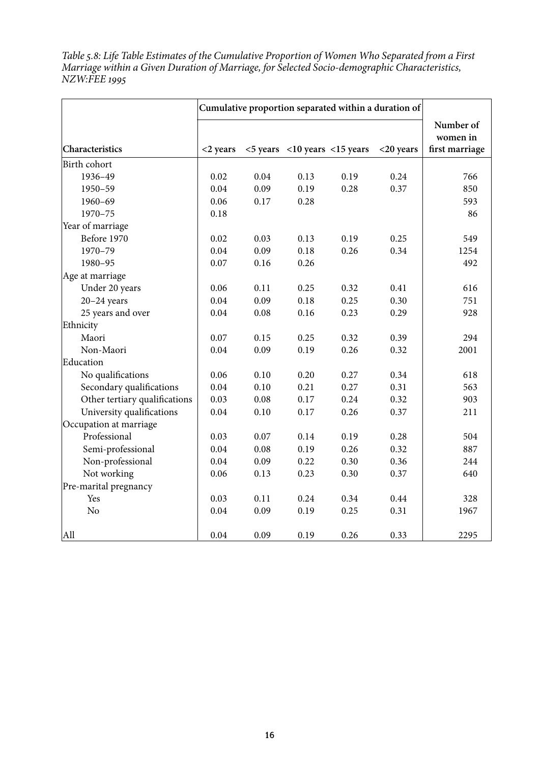*Table 5.8: Life Table Estimates of the Cumulative Proportion of Women Who Separated from a First Marriage within a Given Duration of Marriage, for Selected Socio-demographic Characteristics, NZW:FEE 1995*

|                               |             |      | Cumulative proportion separated within a duration of |      |              |                                         |
|-------------------------------|-------------|------|------------------------------------------------------|------|--------------|-----------------------------------------|
| Characteristics               | $<$ 2 years |      | $<$ 5 years $<$ 10 years $<$ 15 years                |      | $<$ 20 years | Number of<br>women in<br>first marriage |
| Birth cohort                  |             |      |                                                      |      |              |                                         |
| 1936-49                       | 0.02        | 0.04 | 0.13                                                 | 0.19 | 0.24         | 766                                     |
| 1950-59                       | 0.04        | 0.09 | 0.19                                                 | 0.28 | 0.37         | 850                                     |
| $1960 - 69$                   | 0.06        | 0.17 | 0.28                                                 |      |              | 593                                     |
| 1970-75                       | 0.18        |      |                                                      |      |              | 86                                      |
| Year of marriage              |             |      |                                                      |      |              |                                         |
| Before 1970                   | 0.02        | 0.03 | 0.13                                                 | 0.19 | 0.25         | 549                                     |
| 1970-79                       | 0.04        | 0.09 | 0.18                                                 | 0.26 | 0.34         | 1254                                    |
| 1980-95                       | 0.07        | 0.16 | 0.26                                                 |      |              | 492                                     |
| Age at marriage               |             |      |                                                      |      |              |                                         |
| Under 20 years                | 0.06        | 0.11 | 0.25                                                 | 0.32 | 0.41         | 616                                     |
| $20-24$ years                 | 0.04        | 0.09 | 0.18                                                 | 0.25 | 0.30         | 751                                     |
| 25 years and over             | 0.04        | 0.08 | 0.16                                                 | 0.23 | 0.29         | 928                                     |
| Ethnicity                     |             |      |                                                      |      |              |                                         |
| Maori                         | 0.07        | 0.15 | 0.25                                                 | 0.32 | 0.39         | 294                                     |
| Non-Maori                     | 0.04        | 0.09 | 0.19                                                 | 0.26 | 0.32         | 2001                                    |
| Education                     |             |      |                                                      |      |              |                                         |
| No qualifications             | 0.06        | 0.10 | 0.20                                                 | 0.27 | 0.34         | 618                                     |
| Secondary qualifications      | 0.04        | 0.10 | 0.21                                                 | 0.27 | 0.31         | 563                                     |
| Other tertiary qualifications | 0.03        | 0.08 | 0.17                                                 | 0.24 | 0.32         | 903                                     |
| University qualifications     | 0.04        | 0.10 | 0.17                                                 | 0.26 | 0.37         | 211                                     |
| Occupation at marriage        |             |      |                                                      |      |              |                                         |
| Professional                  | 0.03        | 0.07 | 0.14                                                 | 0.19 | 0.28         | 504                                     |
| Semi-professional             | 0.04        | 0.08 | 0.19                                                 | 0.26 | 0.32         | 887                                     |
| Non-professional              | 0.04        | 0.09 | 0.22                                                 | 0.30 | 0.36         | 244                                     |
| Not working                   | 0.06        | 0.13 | 0.23                                                 | 0.30 | 0.37         | 640                                     |
| Pre-marital pregnancy         |             |      |                                                      |      |              |                                         |
| Yes                           | 0.03        | 0.11 | 0.24                                                 | 0.34 | 0.44         | 328                                     |
| N <sub>o</sub>                | 0.04        | 0.09 | 0.19                                                 | 0.25 | 0.31         | 1967                                    |
| All                           | 0.04        | 0.09 | 0.19                                                 | 0.26 | 0.33         | 2295                                    |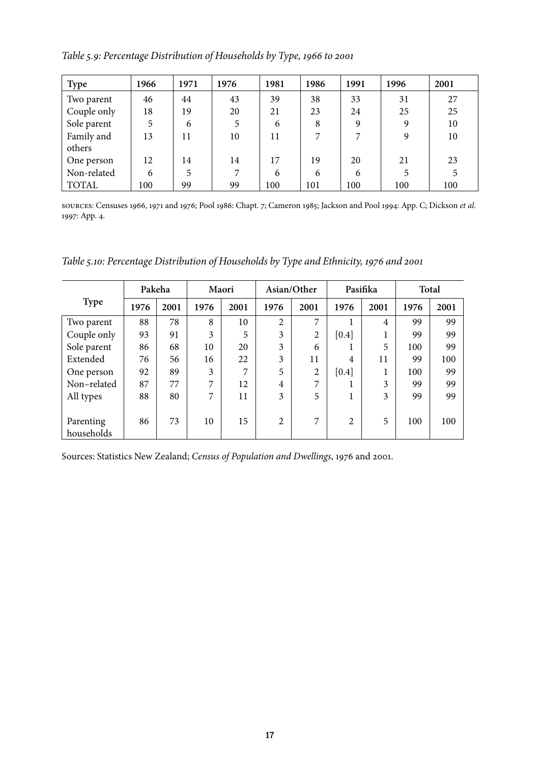*Table 5.9: Percentage Distribution of Households by Type, 1966 to 2001*

| <b>Type</b>  | 1966 | 1971 | 1976           | 1981 | 1986 | 1991 | 1996 | 2001 |
|--------------|------|------|----------------|------|------|------|------|------|
| Two parent   | 46   | 44   | 43             | 39   | 38   | 33   | 31   | 27   |
| Couple only  | 18   | 19   | 20             | 21   | 23   | 24   | 25   | 25   |
| Sole parent  | 5    | 6    | 5              | 6    | 8    | 9    | 9    | 10   |
| Family and   | 13   | 11   | 10             | 11   | 7    | 7    | 9    | 10   |
| others       |      |      |                |      |      |      |      |      |
| One person   | 12   | 14   | 14             | 17   | 19   | 20   | 21   | 23   |
| Non-related  | 6    | 5    | $\overline{ }$ | 6    | 6    | 6    | 5    | 5    |
| <b>TOTAL</b> | 100  | 99   | 99             | 100  | 101  | 100  | 100  | 100  |

sources: Censuses 1966, 1971 and 1976; Pool 1986: Chapt. 7; Cameron 1985; Jackson and Pool 1994: App. C; Dickson *et al*. 1997: App. 4.

*Table 5.10: Percentage Distribution of Households by Type and Ethnicity, 1976 and 2001*

|             | Pakeha |      | Maori          |      | Asian/Other    |                | Pasifika       |      | Total |      |
|-------------|--------|------|----------------|------|----------------|----------------|----------------|------|-------|------|
| <b>Type</b> | 1976   | 2001 | 1976           | 2001 | 1976           | 2001           | 1976           | 2001 | 1976  | 2001 |
| Two parent  | 88     | 78   | 8              | 10   | 2              | 7              |                | 4    | 99    | 99   |
| Couple only | 93     | 91   | 3              | 5    | 3              | 2              | [0.4]          | 1    | 99    | 99   |
| Sole parent | 86     | 68   | 10             | 20   | 3              | 6              |                | 5    | 100   | 99   |
| Extended    | 76     | 56   | 16             | 22   | 3              | 11             | 4              | 11   | 99    | 100  |
| One person  | 92     | 89   | 3              | 7    | 5              | $\overline{2}$ | [0.4]          | 1    | 100   | 99   |
| Non-related | 87     | 77   | 7              | 12   | 4              | 7              |                | 3    | 99    | 99   |
| All types   | 88     | 80   | $\overline{7}$ | 11   | 3              | 5              |                | 3    | 99    | 99   |
|             |        |      |                |      |                |                |                |      |       |      |
| Parenting   | 86     | 73   | 10             | 15   | $\overline{2}$ | 7              | $\overline{2}$ | 5    | 100   | 100  |
| households  |        |      |                |      |                |                |                |      |       |      |

Sources: Statistics New Zealand; *Census of Population and Dwellings*, 1976 and 2001.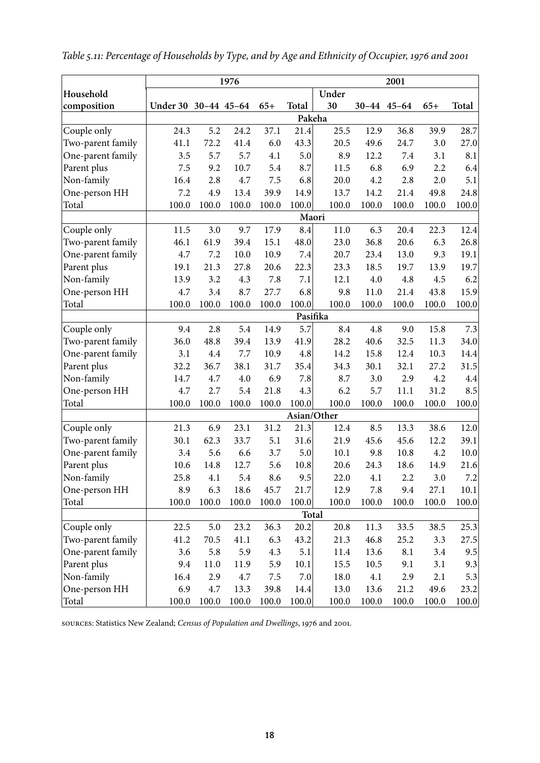|                   | 1976<br>2001         |          |       |         |       |             |       |             |       |       |
|-------------------|----------------------|----------|-------|---------|-------|-------------|-------|-------------|-------|-------|
| Household         |                      |          |       |         |       | Under       |       |             |       |       |
| composition       | Under 30 30-44 45-64 |          |       | $65+$   | Total | 30          |       | 30-44 45-64 | $65+$ | Total |
|                   |                      |          |       |         |       | Pakeha      |       |             |       |       |
| Couple only       | 24.3                 | 5.2      | 24.2  | 37.1    | 21.4  | 25.5        | 12.9  | 36.8        | 39.9  | 28.7  |
| Two-parent family | 41.1                 | 72.2     | 41.4  | 6.0     | 43.3  | 20.5        | 49.6  | 24.7        | 3.0   | 27.0  |
| One-parent family | 3.5                  | 5.7      | 5.7   | 4.1     | 5.0   | 8.9         | 12.2  | 7.4         | 3.1   | 8.1   |
| Parent plus       | 7.5                  | 9.2      | 10.7  | 5.4     | 8.7   | 11.5        | 6.8   | 6.9         | 2.2   | 6.4   |
| Non-family        | 16.4                 | 2.8      | 4.7   | 7.5     | 6.8   | 20.0        | 4.2   | 2.8         | 2.0   | 5.1   |
| One-person HH     | 7.2                  | 4.9      | 13.4  | 39.9    | 14.9  | 13.7        | 14.2  | 21.4        | 49.8  | 24.8  |
| Total             | 100.0                | 100.0    | 100.0 | 100.0   | 100.0 | 100.0       | 100.0 | 100.0       | 100.0 | 100.0 |
|                   |                      |          |       |         |       | Maori       |       |             |       |       |
| Couple only       | 11.5                 | 3.0      | 9.7   | 17.9    | 8.4   | 11.0        | 6.3   | 20.4        | 22.3  | 12.4  |
| Two-parent family | 46.1                 | 61.9     | 39.4  | 15.1    | 48.0  | 23.0        | 36.8  | 20.6        | 6.3   | 26.8  |
| One-parent family | 4.7                  | 7.2      | 10.0  | 10.9    | 7.4   | 20.7        | 23.4  | 13.0        | 9.3   | 19.1  |
| Parent plus       | 19.1                 | 21.3     | 27.8  | 20.6    | 22.3  | 23.3        | 18.5  | 19.7        | 13.9  | 19.7  |
| Non-family        | 13.9                 | 3.2      | 4.3   | 7.8     | 7.1   | 12.1        | 4.0   | 4.8         | 4.5   | 6.2   |
| One-person HH     | 4.7                  | 3.4      | 8.7   | 27.7    | 6.8   | 9.8         | 11.0  | 21.4        | 43.8  | 15.9  |
| Total             | 100.0                | 100.0    | 100.0 | 100.0   | 100.0 | 100.0       | 100.0 | 100.0       | 100.0 | 100.0 |
|                   |                      | Pasifika |       |         |       |             |       |             |       |       |
| Couple only       | 9.4                  | 2.8      | 5.4   | 14.9    | 5.7   | 8.4         | 4.8   | 9.0         | 15.8  | 7.3   |
| Two-parent family | 36.0                 | 48.8     | 39.4  | 13.9    | 41.9  | 28.2        | 40.6  | 32.5        | 11.3  | 34.0  |
| One-parent family | 3.1                  | 4.4      | 7.7   | 10.9    | 4.8   | 14.2        | 15.8  | 12.4        | 10.3  | 14.4  |
| Parent plus       | 32.2                 | 36.7     | 38.1  | 31.7    | 35.4  | 34.3        | 30.1  | 32.1        | 27.2  | 31.5  |
| Non-family        | 14.7                 | 4.7      | 4.0   | 6.9     | 7.8   | 8.7         | 3.0   | 2.9         | 4.2   | 4.4   |
| One-person HH     | 4.7                  | 2.7      | 5.4   | 21.8    | 4.3   | 6.2         | 5.7   | 11.1        | 31.2  | 8.5   |
| Total             | 100.0                | 100.0    | 100.0 | 100.0   | 100.0 | 100.0       | 100.0 | 100.0       | 100.0 | 100.0 |
|                   |                      |          |       |         |       | Asian/Other |       |             |       |       |
| Couple only       | 21.3                 | 6.9      | 23.1  | 31.2    | 21.3  | 12.4        | 8.5   | 13.3        | 38.6  | 12.0  |
| Two-parent family | 30.1                 | 62.3     | 33.7  | 5.1     | 31.6  | 21.9        | 45.6  | 45.6        | 12.2  | 39.1  |
| One-parent family | 3.4                  | 5.6      | 6.6   | 3.7     | 5.0   | 10.1        | 9.8   | 10.8        | 4.2   | 10.0  |
| Parent plus       | 10.6                 | 14.8     | 12.7  | 5.6     | 10.8  | 20.6        | 24.3  | 18.6        | 14.9  | 21.6  |
| Non-family        | 25.8                 | 4.1      | 5.4   | 8.6     | 9.5   | 22.0        | 4.1   | 2.2         | 3.0   | 7.2   |
| One-person HH     | 8.9                  | 6.3      | 18.6  | 45.7    | 21.7  | 12.9        | 7.8   | 9.4         | 27.1  | 10.1  |
| Total             | 100.0                | 100.0    | 100.0 | 100.0   | 100.0 | 100.0       | 100.0 | 100.0       | 100.0 | 100.0 |
|                   |                      |          |       |         |       | Total       |       |             |       |       |
| Couple only       | 22.5                 | 5.0      | 23.2  | 36.3    | 20.2  | 20.8        | 11.3  | 33.5        | 38.5  | 25.3  |
| Two-parent family | 41.2                 | 70.5     | 41.1  | 6.3     | 43.2  | 21.3        | 46.8  | 25.2        | 3.3   | 27.5  |
| One-parent family | 3.6                  | 5.8      | 5.9   | 4.3     | 5.1   | 11.4        | 13.6  | 8.1         | 3.4   | 9.5   |
| Parent plus       | 9.4                  | 11.0     | 11.9  | 5.9     | 10.1  | 15.5        | 10.5  | 9.1         | 3.1   | 9.3   |
| Non-family        | 16.4                 | 2.9      | 4.7   | $7.5\,$ | 7.0   | 18.0        | 4.1   | 2.9         | 2.1   | 5.3   |
| One-person HH     | 6.9                  | 4.7      | 13.3  | 39.8    | 14.4  | 13.0        | 13.6  | 21.2        | 49.6  | 23.2  |
| Total             | 100.0                | 100.0    | 100.0 | 100.0   | 100.0 | 100.0       | 100.0 | 100.0       | 100.0 | 100.0 |

*Table 5.11: Percentage of Households by Type, and by Age and Ethnicity of Occupier, 1976 and 2001*

sources: Statistics New Zealand; *Census of Population and Dwellings*, 1976 and 2001.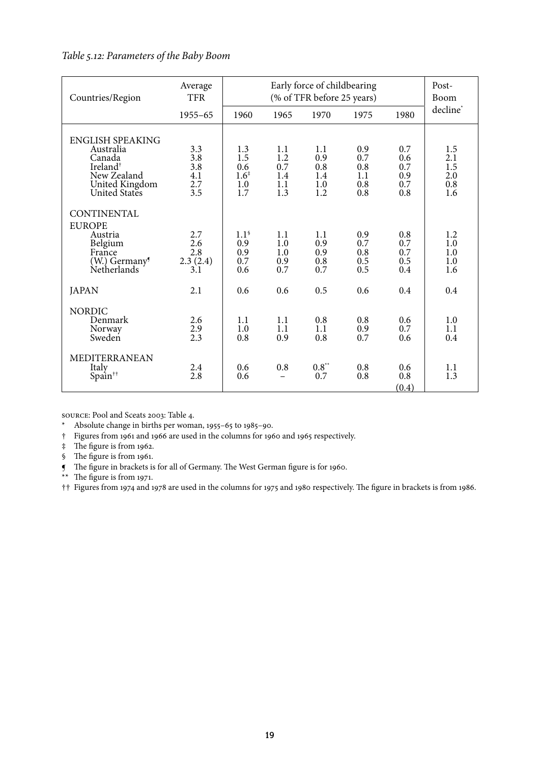## *Table 5.12: Parameters of the Baby Boom*

| Countries/Region                                                                                                         | Average<br><b>TFR</b>                  |                                                     |                                        | Post-<br>Boom                          |                                        |                                        |                                        |
|--------------------------------------------------------------------------------------------------------------------------|----------------------------------------|-----------------------------------------------------|----------------------------------------|----------------------------------------|----------------------------------------|----------------------------------------|----------------------------------------|
|                                                                                                                          | $1955 - 65$                            | 1960                                                | 1965                                   | 1970                                   | 1975                                   | 1980                                   | decline*                               |
| <b>ENGLISH SPEAKING</b><br>Australia<br>Canada<br>Ireland <sup>†</sup><br>New Zealand<br>United Kingdom<br>United States | 3.3<br>3.8<br>3.8<br>4.1<br>2.7<br>3.5 | 1.3<br>1.5<br>0.6<br>$1.6^{\ddagger}$<br>1.0<br>1.7 | 1.1<br>1.2<br>0.7<br>1.4<br>1.1<br>1.3 | 1.1<br>0.9<br>0.8<br>1.4<br>1.0<br>1.2 | 0.9<br>0.7<br>0.8<br>1.1<br>0.8<br>0.8 | 0.7<br>0.6<br>0.7<br>0.9<br>0.7<br>0.8 | 1.5<br>2.1<br>1.5<br>2.0<br>0.8<br>1.6 |
| CONTINENTAL<br><b>EUROPE</b><br>Austria<br>Belgium<br>France<br>(W.) Germany <sup>9</sup><br>Netherlands                 | 2.7<br>2.6<br>2.8<br>2.3(2.4)<br>3.1   | $1.1^{\circ}$<br>0.9<br>0.9<br>0.7<br>0.6           | 1.1<br>$1.0\,$<br>1.0<br>0.9<br>0.7    | 1.1<br>0.9<br>0.9<br>0.8<br>0.7        | 0.9<br>0.7<br>0.8<br>0.5<br>0.5        | 0.8<br>0.7<br>0.7<br>0.5<br>0.4        | 1.2<br>1.0<br>1.0<br>$1.0\,$<br>1.6    |
| <b>JAPAN</b>                                                                                                             | 2.1                                    | 0.6                                                 | 0.6                                    | 0.5                                    | 0.6                                    | 0.4                                    | 0.4                                    |
| <b>NORDIC</b><br>Denmark<br>Norway<br>Sweden                                                                             | 2.6<br>$\frac{2.9}{2.3}$               | 1.1<br>1.0<br>0.8                                   | 1.1<br>1.1<br>0.9                      | 0.8<br>1.1<br>0.8                      | 0.8<br>0.9<br>0.7                      | 0.6<br>0.7<br>0.6                      | 1.0<br>1.1<br>0.4                      |
| <b>MEDITERRANEAN</b><br>Italy<br>Spain <sup>††</sup>                                                                     | 2.4<br>2.8                             | 0.6<br>0.6                                          | 0.8<br>$\equiv$                        | $0.8**$<br>0.7                         | 0.8<br>0.8                             | 0.6<br>0.8<br>(0.4)                    | 1.1<br>1.3                             |

source: Pool and Sceats 2003: Table 4.

\* Absolute change in births per woman, 1955–65 to 1985–90.

- † Figures from 1961 and 1966 are used in the columns for 1960 and 1965 respectively.
- ‡ The figure is from 1962.
- § The figure is from 1961.
- ¶ The figure in brackets is for all of Germany. The West German figure is for 1960.
- \*\* The figure is from 1971.

†† Figures from 1974 and 1978 are used in the columns for 1975 and 1980 respectively. The figure in brackets is from 1986.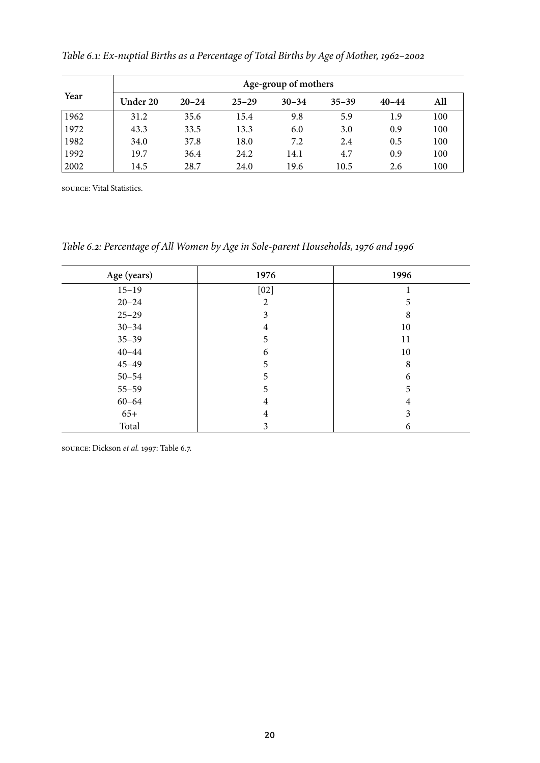|      | Age-group of mothers |           |           |           |           |           |     |  |  |  |  |
|------|----------------------|-----------|-----------|-----------|-----------|-----------|-----|--|--|--|--|
| Year | Under 20             | $20 - 24$ | $25 - 29$ | $30 - 34$ | $35 - 39$ | $40 - 44$ | All |  |  |  |  |
| 1962 | 31.2                 | 35.6      | 15.4      | 9.8       | 5.9       | 1.9       | 100 |  |  |  |  |
| 1972 | 43.3                 | 33.5      | 13.3      | 6.0       | 3.0       | 0.9       | 100 |  |  |  |  |
| 1982 | 34.0                 | 37.8      | 18.0      | 7.2       | 2.4       | 0.5       | 100 |  |  |  |  |
| 1992 | 19.7                 | 36.4      | 24.2      | 14.1      | 4.7       | 0.9       | 100 |  |  |  |  |
| 2002 | 14.5                 | 28.7      | 24.0      | 19.6      | 10.5      | 2.6       | 100 |  |  |  |  |

*Table 6.1: Ex-nuptial Births as a Percentage of Total Births by Age of Mother, 1962–2002*

source: Vital Statistics.

*Table 6.2: Percentage of All Women by Age in Sole-parent Households, 1976 and 1996*

| Age (years) | 1976 | 1996 |
|-------------|------|------|
| $15 - 19$   | [02] |      |
| $20 - 24$   | 2    | 5    |
| $25 - 29$   | 3    | 8    |
| $30 - 34$   | 4    | 10   |
| $35 - 39$   | 5    | 11   |
| $40 - 44$   | 6    | 10   |
| $45 - 49$   | 5    | 8    |
| $50 - 54$   | 5    | 6    |
| $55 - 59$   | 5    | 5    |
| $60 - 64$   | 4    | 4    |
| $65+$       | 4    | 3    |
| Total       | 3    | 6    |

source: Dickson *et al.* 1997: Table 6.7.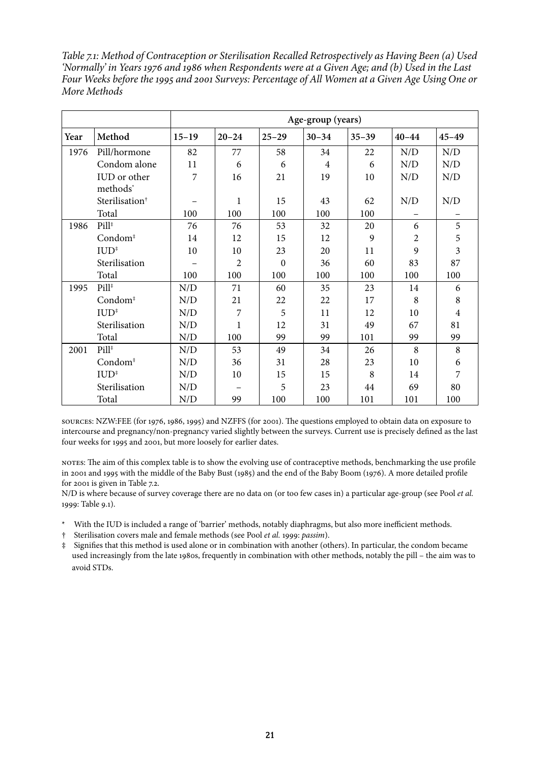*Table 7.1: Method of Contraception or Sterilisation Recalled Retrospectively as Having Been (a) Used 'Normally' in Years 1976 and 1986 when Respondents were at a Given Age; and (b) Used in the Last Four Weeks before the 1995 and 2001 Surveys: Percentage of All Women at a Given Age Using One or More Methods*

|      |                            | Age-group (years) |           |           |                |           |           |                         |  |
|------|----------------------------|-------------------|-----------|-----------|----------------|-----------|-----------|-------------------------|--|
| Year | Method                     | $15 - 19$         | $20 - 24$ | $25 - 29$ | $30 - 34$      | $35 - 39$ | $40 - 44$ | $45 - 49$               |  |
| 1976 | Pill/hormone               | 82                | 77        | 58        | 34             | 22        | N/D       | N/D                     |  |
|      | Condom alone               | 11                | 6         | 6         | $\overline{4}$ | 6         | N/D       | N/D                     |  |
|      | IUD or other<br>methods*   | 7                 | 16        | 21        | 19             | 10        | N/D       | N/D                     |  |
|      | Sterilisation <sup>†</sup> |                   | 1         | 15        | 43             | 62        | N/D       | N/D                     |  |
|      | Total                      | 100               | 100       | 100       | 100            | 100       |           |                         |  |
| 1986 | $Pill^*$                   | 76                | 76        | 53        | 32             | 20        | 6         | 5                       |  |
|      | $Condom^*$                 | 14                | 12        | 15        | 12             | 9         | 2         | 5                       |  |
|      | $IUD^*$                    | 10                | 10        | 23        | 20             | 11        | 9         | $\overline{\mathbf{3}}$ |  |
|      | Sterilisation              |                   | 2         | $\theta$  | 36             | 60        | 83        | 87                      |  |
|      | Total                      | 100               | 100       | 100       | 100            | 100       | 100       | 100                     |  |
| 1995 | Pill <sup>#</sup>          | N/D               | 71        | 60        | 35             | 23        | 14        | 6                       |  |
|      | Condom <sup>#</sup>        | N/D               | 21        | 22        | 22             | 17        | 8         | 8                       |  |
|      | $IUD^*$                    | N/D               | 7         | 5         | 11             | 12        | 10        | $\overline{4}$          |  |
|      | Sterilisation              | N/D               | 1         | 12        | 31             | 49        | 67        | 81                      |  |
|      | Total                      | N/D               | 100       | 99        | 99             | 101       | 99        | 99                      |  |
| 2001 | Pill <sup>#</sup>          | N/D               | 53        | 49        | 34             | 26        | 8         | 8                       |  |
|      | $Condom^*$                 | N/D               | 36        | 31        | 28             | 23        | 10        | 6                       |  |
|      | $IUD^*$                    | N/D               | 10        | 15        | 15             | 8         | 14        | 7                       |  |
|      | Sterilisation              | N/D               |           | 5         | 23             | 44        | 69        | 80                      |  |
|      | Total                      | N/D               | 99        | 100       | 100            | 101       | 101       | 100                     |  |

sources: NZW:FEE (for 1976, 1986, 1995) and NZFFS (for 2001). The questions employed to obtain data on exposure to intercourse and pregnancy/non-pregnancy varied slightly between the surveys. Current use is precisely defined as the last four weeks for 1995 and 2001, but more loosely for earlier dates.

notes: The aim of this complex table is to show the evolving use of contraceptive methods, benchmarking the use profile in 2001 and 1995 with the middle of the Baby Bust (1985) and the end of the Baby Boom (1976). A more detailed profile for 2001 is given in Table 7.2.

N/D is where because of survey coverage there are no data on (or too few cases in) a particular age-group (see Pool *et al.* 1999: Table 9.1).

- \* With the IUD is included a range of 'barrier' methods, notably diaphragms, but also more inefficient methods.
- † Sterilisation covers male and female methods (see Pool *et al.* 1999: *passim*).

‡ Signifies that this method is used alone or in combination with another (others). In particular, the condom became used increasingly from the late 1980s, frequently in combination with other methods, notably the pill – the aim was to avoid STDs.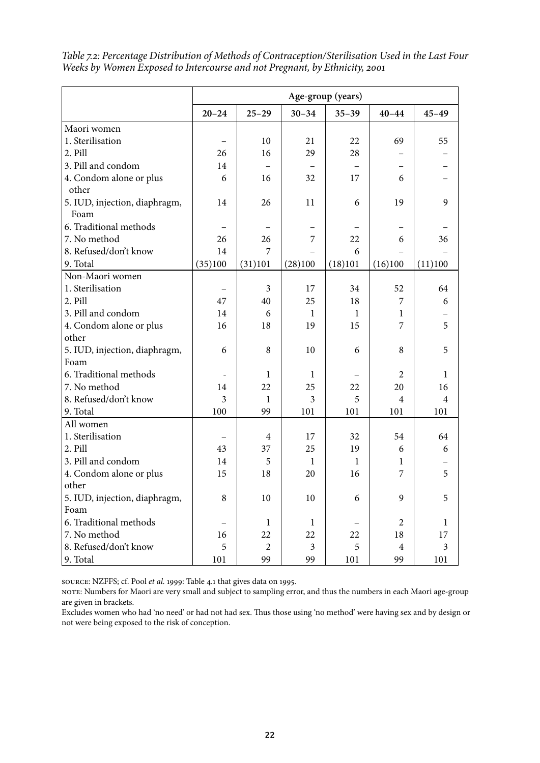|                               | Age-group (years) |                |                |              |                |                         |  |
|-------------------------------|-------------------|----------------|----------------|--------------|----------------|-------------------------|--|
|                               | $20 - 24$         | $25 - 29$      | $30 - 34$      | $35 - 39$    | $40 - 44$      | $45 - 49$               |  |
| Maori women                   |                   |                |                |              |                |                         |  |
| 1. Sterilisation              |                   | 10             | 21             | 22           | 69             | 55                      |  |
| 2. Pill                       | 26                | 16             | 29             | 28           |                |                         |  |
| 3. Pill and condom            | 14                |                |                |              |                |                         |  |
| 4. Condom alone or plus       | 6                 | 16             | 32             | 17           | 6              |                         |  |
| other                         |                   |                |                |              |                |                         |  |
| 5. IUD, injection, diaphragm, | 14                | 26             | 11             | 6            | 19             | 9                       |  |
| Foam                          |                   |                |                |              |                |                         |  |
| 6. Traditional methods        |                   |                |                |              |                |                         |  |
| 7. No method                  | 26                | 26             | $\overline{7}$ | 22           | 6              | 36                      |  |
| 8. Refused/don't know         | 14                | 7              |                | 6            |                |                         |  |
| 9. Total                      | (35)100           | (31)101        | (28)100        | (18)101      | (16)100        | (11)100                 |  |
| Non-Maori women               |                   |                |                |              |                |                         |  |
| 1. Sterilisation              |                   | 3              | 17             | 34           | 52             | 64                      |  |
| 2. Pill                       | 47                | 40             | 25             | 18           | 7              | 6                       |  |
| 3. Pill and condom            | 14                | 6              | 1              | 1            | 1              |                         |  |
| 4. Condom alone or plus       | 16                | 18             | 19             | 15           | 7              | 5                       |  |
| other                         |                   |                |                |              |                |                         |  |
| 5. IUD, injection, diaphragm, | 6                 | 8              | 10             | 6            | 8              | 5                       |  |
| Foam                          |                   |                |                |              |                |                         |  |
| 6. Traditional methods        |                   | 1              | 1              |              | 2              | 1                       |  |
| 7. No method                  | 14                | 22             | 25             | 22           | 20             | 16                      |  |
| 8. Refused/don't know         | 3                 | $\mathbf{1}$   | 3              | 5            | $\overline{4}$ | $\overline{4}$          |  |
| 9. Total                      | 100               | 99             | 101            | 101          | 101            | 101                     |  |
| All women                     |                   |                |                |              |                |                         |  |
| 1. Sterilisation              |                   | 4              | 17             | 32           | 54             | 64                      |  |
| 2. Pill                       | 43                | 37             | 25             | 19           | 6              | 6                       |  |
| 3. Pill and condom            | 14                | 5              | 1              | $\mathbf{1}$ | 1              |                         |  |
| 4. Condom alone or plus       | 15                | 18             | 20             | 16           | 7              | 5                       |  |
| other                         |                   |                |                |              |                |                         |  |
| 5. IUD, injection, diaphragm, | 8                 | 10             | 10             | 6            | 9              | 5                       |  |
| Foam                          |                   |                |                |              |                |                         |  |
| 6. Traditional methods        |                   | $\mathbf{1}$   | $\mathbf{1}$   |              | $\overline{2}$ | $\mathbf{1}$            |  |
| 7. No method                  | 16                | 22             | 22             | 22           | 18             | 17                      |  |
| 8. Refused/don't know         | 5                 | $\overline{2}$ | $\overline{3}$ | 5            | $\overline{4}$ | $\overline{\mathbf{3}}$ |  |
| 9. Total                      | 101               | 99             | 99             | 101          | 99             | 101                     |  |

*Table 7.2: Percentage Distribution of Methods of Contraception/Sterilisation Used in the Last Four Weeks by Women Exposed to Intercourse and not Pregnant, by Ethnicity, 2001*

source: NZFFS; cf. Pool *et al.* 1999: Table 4.1 that gives data on 1995.

note: Numbers for Maori are very small and subject to sampling error, and thus the numbers in each Maori age-group are given in brackets.

Excludes women who had 'no need' or had not had sex. Thus those using 'no method' were having sex and by design or not were being exposed to the risk of conception.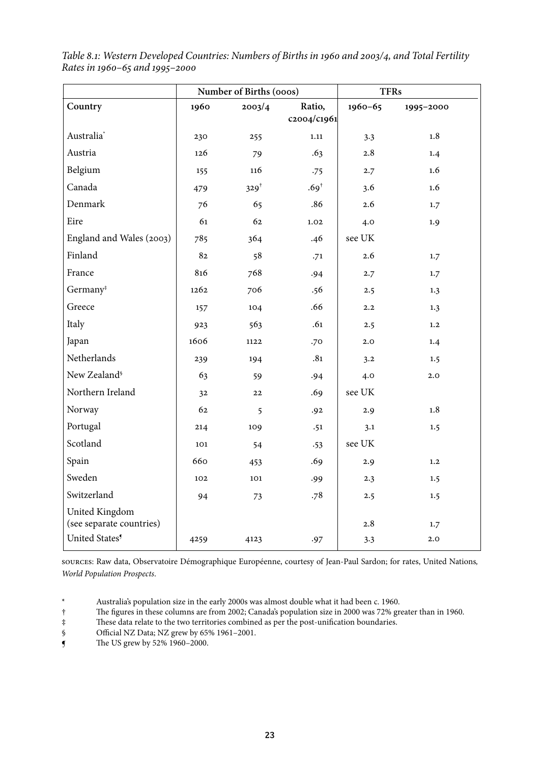|                            | Number of Births (000s) |                  |                  | <b>TFRs</b> |           |  |
|----------------------------|-------------------------|------------------|------------------|-------------|-----------|--|
| Country                    | 1960                    | 2003/4           |                  | 1960-65     | 1995-2000 |  |
|                            |                         |                  | c2004/c1961      |             |           |  |
| Australia <sup>*</sup>     | 230                     | 255              | 1.11             | 3.3         | 1.8       |  |
| Austria                    | 126                     | 79               | .63              | 2.8         | 1.4       |  |
| Belgium                    | 155                     | 116              | .75              | 2.7         | 1.6       |  |
| Canada                     | 479                     | 329 <sup>†</sup> | .69 <sup>†</sup> | 3.6         | 1.6       |  |
| Denmark                    | 76                      | 65               | .86              | 2.6         | 1.7       |  |
| Eire                       | 61                      | 62               | 1.02             | 4.0         | 1.9       |  |
| England and Wales (2003)   | 785                     | 364              | .46              | see UK      |           |  |
| Finland                    | 82                      | 58               | .71              | 2.6         | 1.7       |  |
| France                     | 816                     | 768              | .94              | 2.7         | 1.7       |  |
| Germany <sup>#</sup>       | 1262                    | 706              | .56              | 2.5         | 1.3       |  |
| Greece                     | 157                     | 104              | .66              | 2.2         | 1.3       |  |
| Italy                      | 923                     | 563              | .61              | 2.5         | 1,2       |  |
| Japan                      | 1606                    | 1122             | .70              | 2.0         | 1.4       |  |
| Netherlands                | 239                     | 194              | .81              | 3.2         | 1.5       |  |
| New Zealand <sup>§</sup>   | 63                      | 59               | .94              | 4.0         | 2.0       |  |
| Northern Ireland           | 32                      | 22               | .69              | see UK      |           |  |
| Norway                     | 62                      | 5                | .92              | 2.9         | 1.8       |  |
| Portugal                   | 214                     | 109              | .51              | 3.1         | 1.5       |  |
| Scotland                   | 101                     | 54               | .53              | see UK      |           |  |
| Spain                      | 660                     | 453              | .69              | 2.9         | 1,2       |  |
| Sweden                     | 102                     | 101              | .99              | 2.3         | 1.5       |  |
| Switzerland                | 94                      | 73               | .78              | 2.5         | 1.5       |  |
| United Kingdom             |                         |                  |                  |             |           |  |
| (see separate countries)   |                         |                  |                  | 2.8         | 1.7       |  |
| United States <sup>5</sup> | 4259                    | 4123             | .97              | 3.3         | 2.0       |  |

*Table 8.1: Western Developed Countries: Numbers of Births in 1960 and 2003/4, and Total Fertility Rates in 1960–65 and 1995–2000*

sources: Raw data, Observatoire Démographique Européenne, courtesy of Jean-Paul Sardon; for rates, United Nations*, World Population Prospects*.

\* Australia's population size in the early 2000s was almost double what it had been c. 1960.<br>
The figures in these columns are from 2002; Canada's population size in 2000 was 72% gre

† The figures in these columns are from 2002; Canada's population size in 2000 was 72% greater than in 1960.

‡ These data relate to the two territories combined as per the post-unification boundaries.

§ Official NZ Data; NZ grew by 65% 1961–2001.

 $\int$  The US grew by 52% 1960–2000.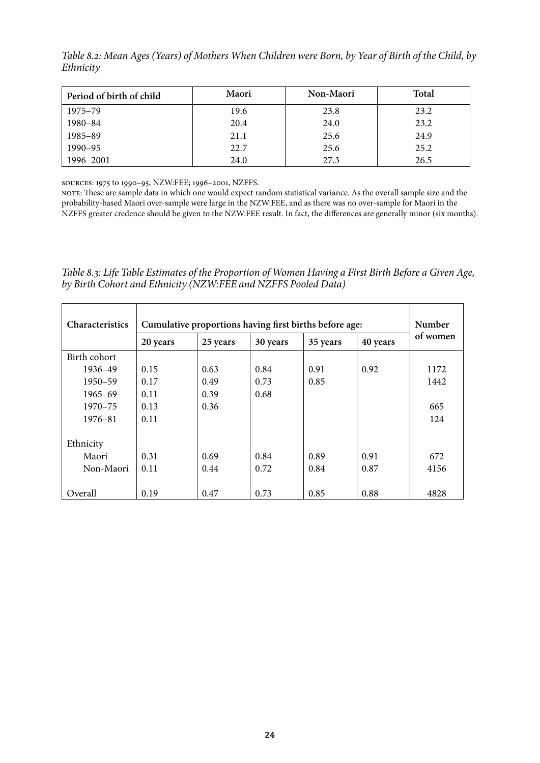*Table 8.2: Mean Ages (Years) of Mothers When Children were Born, by Year of Birth of the Child, by Ethnicity*

| Period of birth of child | Maori | <b>Non-Maori</b> | Total |
|--------------------------|-------|------------------|-------|
| 1975–79                  | 19.6  | 23.8             | 23.2  |
| 1980-84                  | 20.4  | 24.0             | 23.2  |
| 1985-89                  | 21.1  | 25.6             | 24.9  |
| 1990-95                  | 22.7  | 25.6             | 25.2  |
| 1996-2001                | 24.0  | 27.3             | 26.5  |

sources: 1975 to 1990–95, NZW:FEE; 1996–2001, NZFFS.

note: These are sample data in which one would expect random statistical variance. As the overall sample size and the probability-based Maori over-sample were large in the NZW:FEE, and as there was no over-sample for Maori in the NZFFS greater credence should be given to the NZW:FEE result. In fact, the differences are generally minor (six months).

*Table 8.3: Life Table Estimates of the Proportion of Women Having a First Birth Before a Given Age, by Birth Cohort and Ethnicity (NZW:FEE and NZFFS Pooled Data)*

| Characteristics | Cumulative proportions having first births before age: |          |          |          |          |          |
|-----------------|--------------------------------------------------------|----------|----------|----------|----------|----------|
|                 | 20 years                                               | 25 years | 30 years | 35 years | 40 years | of women |
| Birth cohort    |                                                        |          |          |          |          |          |
| 1936-49         | 0.15                                                   | 0.63     | 0.84     | 0.91     | 0.92     | 1172     |
| $1950 - 59$     | 0.17                                                   | 0.49     | 0.73     | 0.85     |          | 1442     |
| $1965 - 69$     | 0.11                                                   | 0.39     | 0.68     |          |          |          |
| $1970 - 75$     | 0.13                                                   | 0.36     |          |          |          | 665      |
| $1976 - 81$     | 0.11                                                   |          |          |          |          | 124      |
|                 |                                                        |          |          |          |          |          |
| Ethnicity       |                                                        |          |          |          |          |          |
| Maori           | 0.31                                                   | 0.69     | 0.84     | 0.89     | 0.91     | 672      |
| Non-Maori       | 0.11                                                   | 0.44     | 0.72     | 0.84     | 0.87     | 4156     |
|                 |                                                        |          |          |          |          |          |
| Overall         | 0.19                                                   | 0.47     | 0.73     | 0.85     | 0.88     | 4828     |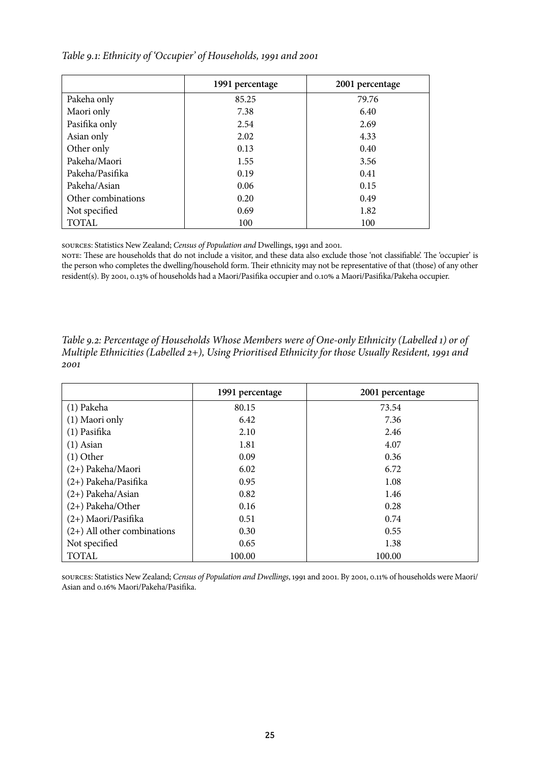#### *Table 9.1: Ethnicity of 'Occupier' of Households, 1991 and 2001*

|                    | 1991 percentage | 2001 percentage |
|--------------------|-----------------|-----------------|
| Pakeha only        | 85.25           | 79.76           |
| Maori only         | 7.38            | 6.40            |
| Pasifika only      | 2.54            | 2.69            |
| Asian only         | 2.02            | 4.33            |
| Other only         | 0.13            | 0.40            |
| Pakeha/Maori       | 1.55            | 3.56            |
| Pakeha/Pasifika    | 0.19            | 0.41            |
| Pakeha/Asian       | 0.06            | 0.15            |
| Other combinations | 0.20            | 0.49            |
| Not specified      | 0.69            | 1.82            |
| <b>TOTAL</b>       | 100             | 100             |

sources: Statistics New Zealand; *Census of Population and* Dwellings, 1991 and 2001.

note: These are households that do not include a visitor, and these data also exclude those 'not classifiable'. The 'occupier' is the person who completes the dwelling/household form. Their ethnicity may not be representative of that (those) of any other resident(s). By 2001, 0.13% of households had a Maori/Pasifika occupier and 0.10% a Maori/Pasifika/Pakeha occupier.

|                               | 1991 percentage | 2001 percentage |
|-------------------------------|-----------------|-----------------|
| (1) Pakeha                    | 80.15           | 73.54           |
| (1) Maori only                | 6.42            | 7.36            |
| (1) Pasifika                  | 2.10            | 2.46            |
| $(1)$ Asian                   | 1.81            | 4.07            |
| $(1)$ Other                   | 0.09            | 0.36            |
| (2+) Pakeha/Maori             | 6.02            | 6.72            |
| $(2+)$ Pakeha/Pasifika        | 0.95            | 1.08            |
| $(2+)$ Pakeha/Asian           | 0.82            | 1.46            |
| $(2+)$ Pakeha/Other           | 0.16            | 0.28            |
| $(2+)$ Maori/Pasifika         | 0.51            | 0.74            |
| $(2+)$ All other combinations | 0.30            | 0.55            |
| Not specified                 | 0.65            | 1.38            |
| <b>TOTAL</b>                  | 100.00          | 100.00          |

*Table 9.2: Percentage of Households Whose Members were of One-only Ethnicity (Labelled 1) or of Multiple Ethnicities (Labelled 2+), Using Prioritised Ethnicity for those Usually Resident, 1991 and 2001*

sources: Statistics New Zealand; *Census of Population and Dwellings*, 1991 and 2001. By 2001, 0.11% of households were Maori/ Asian and 0.16% Maori/Pakeha/Pasifika.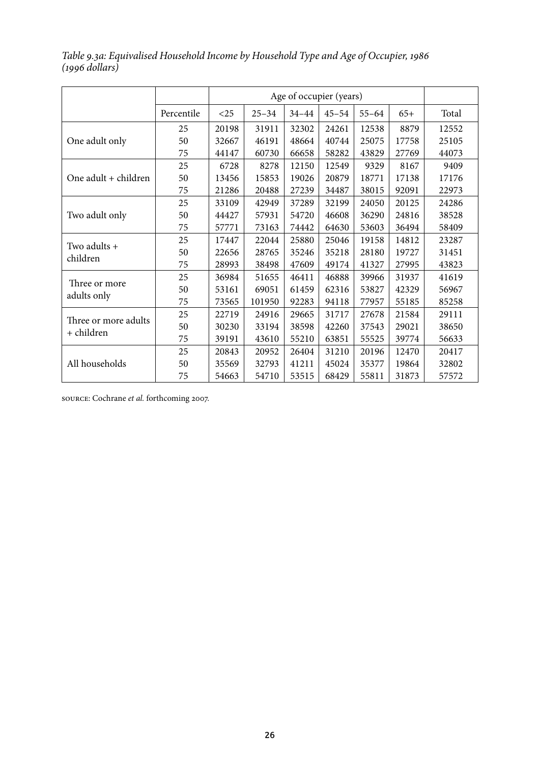| Table 9.3a: Equivalised Household Income by Household Type and Age of Occupier, 1986 |  |  |
|--------------------------------------------------------------------------------------|--|--|
| $(1996$ dollars)                                                                     |  |  |

|                              |            | Age of occupier (years) |           |           |           |           |       |       |
|------------------------------|------------|-------------------------|-----------|-----------|-----------|-----------|-------|-------|
|                              | Percentile | $<$ 25                  | $25 - 34$ | $34 - 44$ | $45 - 54$ | $55 - 64$ | $65+$ | Total |
|                              | 25         | 20198                   | 31911     | 32302     | 24261     | 12538     | 8879  | 12552 |
| One adult only               | 50         | 32667                   | 46191     | 48664     | 40744     | 25075     | 17758 | 25105 |
|                              | 75         | 44147                   | 60730     | 66658     | 58282     | 43829     | 27769 | 44073 |
|                              | 25         | 6728                    | 8278      | 12150     | 12549     | 9329      | 8167  | 9409  |
| One adult + children         | 50         | 13456                   | 15853     | 19026     | 20879     | 18771     | 17138 | 17176 |
|                              | 75         | 21286                   | 20488     | 27239     | 34487     | 38015     | 92091 | 22973 |
|                              | 25         | 33109                   | 42949     | 37289     | 32199     | 24050     | 20125 | 24286 |
| Two adult only               | 50         | 44427                   | 57931     | 54720     | 46608     | 36290     | 24816 | 38528 |
|                              | 75         | 57771                   | 73163     | 74442     | 64630     | 53603     | 36494 | 58409 |
| Two adults +                 | 25         | 17447                   | 22044     | 25880     | 25046     | 19158     | 14812 | 23287 |
| children                     | 50         | 22656                   | 28765     | 35246     | 35218     | 28180     | 19727 | 31451 |
|                              | 75         | 28993                   | 38498     | 47609     | 49174     | 41327     | 27995 | 43823 |
|                              | 25         | 36984                   | 51655     | 46411     | 46888     | 39966     | 31937 | 41619 |
| Three or more<br>adults only | 50         | 53161                   | 69051     | 61459     | 62316     | 53827     | 42329 | 56967 |
|                              | 75         | 73565                   | 101950    | 92283     | 94118     | 77957     | 55185 | 85258 |
| Three or more adults         | 25         | 22719                   | 24916     | 29665     | 31717     | 27678     | 21584 | 29111 |
| + children                   | 50         | 30230                   | 33194     | 38598     | 42260     | 37543     | 29021 | 38650 |
|                              | 75         | 39191                   | 43610     | 55210     | 63851     | 55525     | 39774 | 56633 |
|                              | 25         | 20843                   | 20952     | 26404     | 31210     | 20196     | 12470 | 20417 |
| All households               | 50         | 35569                   | 32793     | 41211     | 45024     | 35377     | 19864 | 32802 |
|                              | 75         | 54663                   | 54710     | 53515     | 68429     | 55811     | 31873 | 57572 |

source: Cochrane *et al.* forthcoming 2007.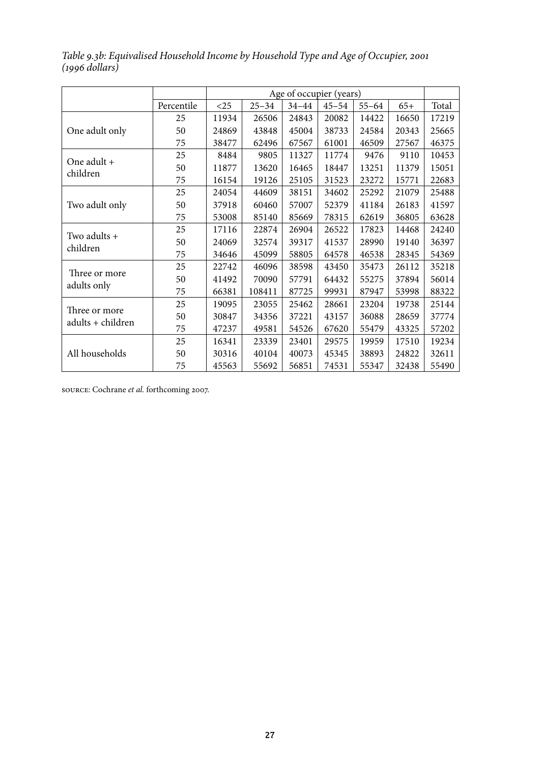|                              |            | Age of occupier (years) |           |           |           |           |       |       |
|------------------------------|------------|-------------------------|-----------|-----------|-----------|-----------|-------|-------|
|                              | Percentile | $<$ 25                  | $25 - 34$ | $34 - 44$ | $45 - 54$ | $55 - 64$ | $65+$ | Total |
|                              | 25         | 11934                   | 26506     | 24843     | 20082     | 14422     | 16650 | 17219 |
| One adult only               | 50         | 24869                   | 43848     | 45004     | 38733     | 24584     | 20343 | 25665 |
|                              | 75         | 38477                   | 62496     | 67567     | 61001     | 46509     | 27567 | 46375 |
| One adult +                  | 25         | 8484                    | 9805      | 11327     | 11774     | 9476      | 9110  | 10453 |
| children                     | 50         | 11877                   | 13620     | 16465     | 18447     | 13251     | 11379 | 15051 |
|                              | 75         | 16154                   | 19126     | 25105     | 31523     | 23272     | 15771 | 22683 |
|                              | 25         | 24054                   | 44609     | 38151     | 34602     | 25292     | 21079 | 25488 |
| Two adult only               | 50         | 37918                   | 60460     | 57007     | 52379     | 41184     | 26183 | 41597 |
|                              | 75         | 53008                   | 85140     | 85669     | 78315     | 62619     | 36805 | 63628 |
|                              | 25         | 17116                   | 22874     | 26904     | 26522     | 17823     | 14468 | 24240 |
| Two adults +<br>children     | 50         | 24069                   | 32574     | 39317     | 41537     | 28990     | 19140 | 36397 |
|                              | 75         | 34646                   | 45099     | 58805     | 64578     | 46538     | 28345 | 54369 |
|                              | 25         | 22742                   | 46096     | 38598     | 43450     | 35473     | 26112 | 35218 |
| Three or more<br>adults only | 50         | 41492                   | 70090     | 57791     | 64432     | 55275     | 37894 | 56014 |
|                              | 75         | 66381                   | 108411    | 87725     | 99931     | 87947     | 53998 | 88322 |
| Three or more                | 25         | 19095                   | 23055     | 25462     | 28661     | 23204     | 19738 | 25144 |
|                              | 50         | 30847                   | 34356     | 37221     | 43157     | 36088     | 28659 | 37774 |
| adults + children            | 75         | 47237                   | 49581     | 54526     | 67620     | 55479     | 43325 | 57202 |
|                              | 25         | 16341                   | 23339     | 23401     | 29575     | 19959     | 17510 | 19234 |
| All households               | 50         | 30316                   | 40104     | 40073     | 45345     | 38893     | 24822 | 32611 |
|                              | 75         | 45563                   | 55692     | 56851     | 74531     | 55347     | 32438 | 55490 |

*Table 9.3b: Equivalised Household Income by Household Type and Age of Occupier, 2001 (1996 dollars)*

source: Cochrane *et al.* forthcoming 2007.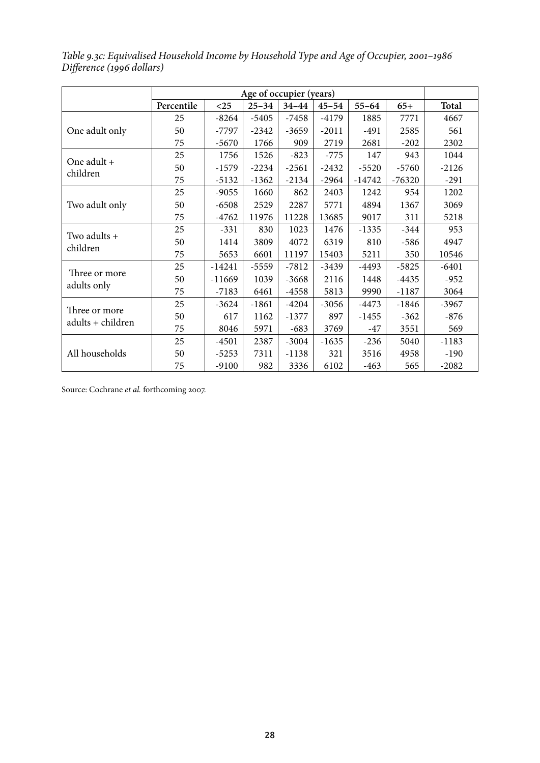|                          | Age of occupier (years) |          |           |           |           |           |          |         |
|--------------------------|-------------------------|----------|-----------|-----------|-----------|-----------|----------|---------|
|                          | Percentile              | $<$ 25   | $25 - 34$ | $34 - 44$ | $45 - 54$ | $55 - 64$ | $65+$    | Total   |
|                          | 25                      | -8264    | $-5405$   | $-7458$   | $-4179$   | 1885      | 7771     | 4667    |
| One adult only           | 50                      | $-7797$  | $-2342$   | $-3659$   | $-2011$   | $-491$    | 2585     | 561     |
|                          | 75                      | $-5670$  | 1766      | 909       | 2719      | 2681      | $-202$   | 2302    |
| One adult +              | 25                      | 1756     | 1526      | $-823$    | $-775$    | 147       | 943      | 1044    |
| children                 | 50                      | $-1579$  | $-2234$   | $-2561$   | $-2432$   | $-5520$   | $-5760$  | $-2126$ |
|                          | 75                      | $-5132$  | $-1362$   | $-2134$   | $-2964$   | $-14742$  | $-76320$ | $-291$  |
|                          | 25                      | $-9055$  | 1660      | 862       | 2403      | 1242      | 954      | 1202    |
| Two adult only           | 50                      | $-6508$  | 2529      | 2287      | 5771      | 4894      | 1367     | 3069    |
|                          | 75                      | $-4762$  | 11976     | 11228     | 13685     | 9017      | 311      | 5218    |
|                          | 25                      | $-331$   | 830       | 1023      | 1476      | $-1335$   | $-344$   | 953     |
| Two adults +<br>children | 50                      | 1414     | 3809      | 4072      | 6319      | 810       | $-586$   | 4947    |
|                          | 75                      | 5653     | 6601      | 11197     | 15403     | 5211      | 350      | 10546   |
| Three or more            | 25                      | $-14241$ | $-5559$   | $-7812$   | $-3439$   | $-4493$   | $-5825$  | $-6401$ |
| adults only              | 50                      | $-11669$ | 1039      | $-3668$   | 2116      | 1448      | $-4435$  | $-952$  |
|                          | 75                      | $-7183$  | 6461      | $-4558$   | 5813      | 9990      | $-1187$  | 3064    |
|                          | 25                      | $-3624$  | $-1861$   | $-4204$   | $-3056$   | $-4473$   | $-1846$  | $-3967$ |
| Three or more            | 50                      | 617      | 1162      | $-1377$   | 897       | $-1455$   | $-362$   | $-876$  |
| adults + children        | 75                      | 8046     | 5971      | $-683$    | 3769      | $-47$     | 3551     | 569     |
|                          | 25                      | $-4501$  | 2387      | $-3004$   | $-1635$   | $-236$    | 5040     | $-1183$ |
| All households           | 50                      | $-5253$  | 7311      | $-1138$   | 321       | 3516      | 4958     | $-190$  |
|                          | 75                      | $-9100$  | 982       | 3336      | 6102      | $-463$    | 565      | $-2082$ |

*Table 9.3c: Equivalised Household Income by Household Type and Age of Occupier, 2001–1986 Difference (1996 dollars)*

Source: Cochrane *et al.* forthcoming 2007.